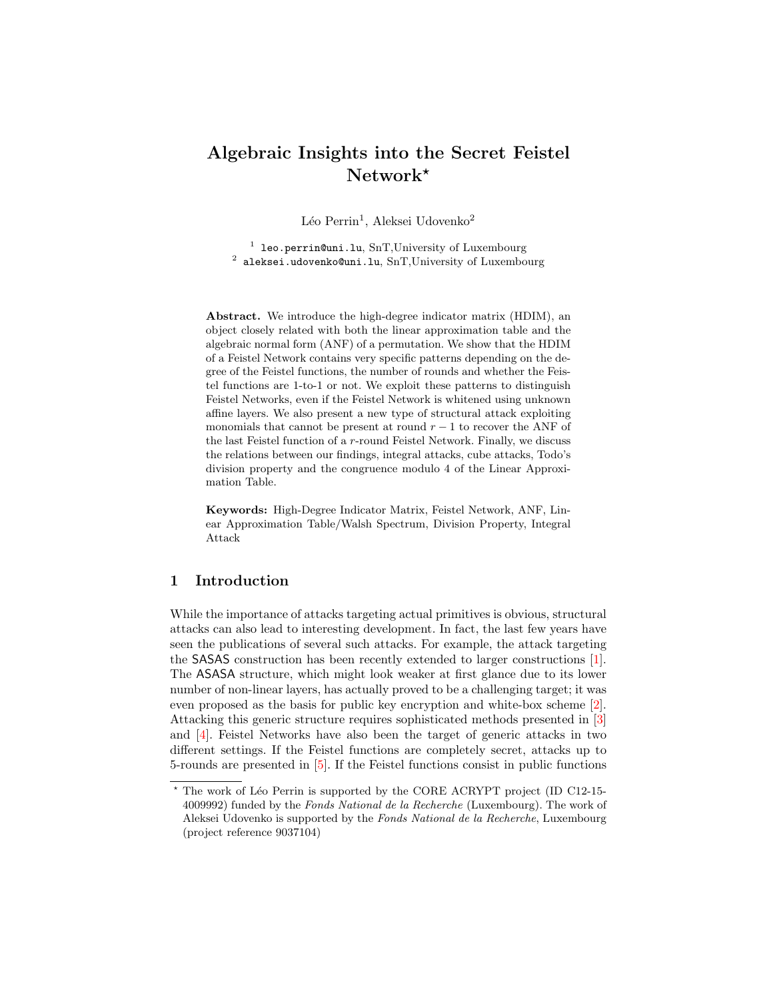# Algebraic Insights into the Secret Feistel  $Network^{\star}$

Léo Perrin<sup>1</sup>, Aleksei Udovenko<sup>2</sup>

<sup>1</sup> leo.perrin@uni.lu, SnT,University of Luxembourg  $^2$  aleksei.udovenko@uni.lu, SnT,University of Luxembourg

Abstract. We introduce the high-degree indicator matrix (HDIM), an object closely related with both the linear approximation table and the algebraic normal form (ANF) of a permutation. We show that the HDIM of a Feistel Network contains very specific patterns depending on the degree of the Feistel functions, the number of rounds and whether the Feistel functions are 1-to-1 or not. We exploit these patterns to distinguish Feistel Networks, even if the Feistel Network is whitened using unknown affine layers. We also present a new type of structural attack exploiting monomials that cannot be present at round  $r-1$  to recover the ANF of the last Feistel function of a  $r$ -round Feistel Network. Finally, we discuss the relations between our findings, integral attacks, cube attacks, Todo's division property and the congruence modulo 4 of the Linear Approximation Table.

Keywords: High-Degree Indicator Matrix, Feistel Network, ANF, Linear Approximation Table/Walsh Spectrum, Division Property, Integral Attack

# 1 Introduction

While the importance of attacks targeting actual primitives is obvious, structural attacks can also lead to interesting development. In fact, the last few years have seen the publications of several such attacks. For example, the attack targeting the SASAS construction has been recently extended to larger constructions [\[1\]](#page-19-0). The ASASA structure, which might look weaker at first glance due to its lower number of non-linear layers, has actually proved to be a challenging target; it was even proposed as the basis for public key encryption and white-box scheme [\[2\]](#page-19-1). Attacking this generic structure requires sophisticated methods presented in [\[3\]](#page-19-2) and [\[4\]](#page-19-3). Feistel Networks have also been the target of generic attacks in two different settings. If the Feistel functions are completely secret, attacks up to 5-rounds are presented in [\[5\]](#page-19-4). If the Feistel functions consist in public functions

 $*$  The work of Léo Perrin is supported by the CORE ACRYPT project (ID C12-15-4009992) funded by the Fonds National de la Recherche (Luxembourg). The work of Aleksei Udovenko is supported by the Fonds National de la Recherche, Luxembourg (project reference 9037104)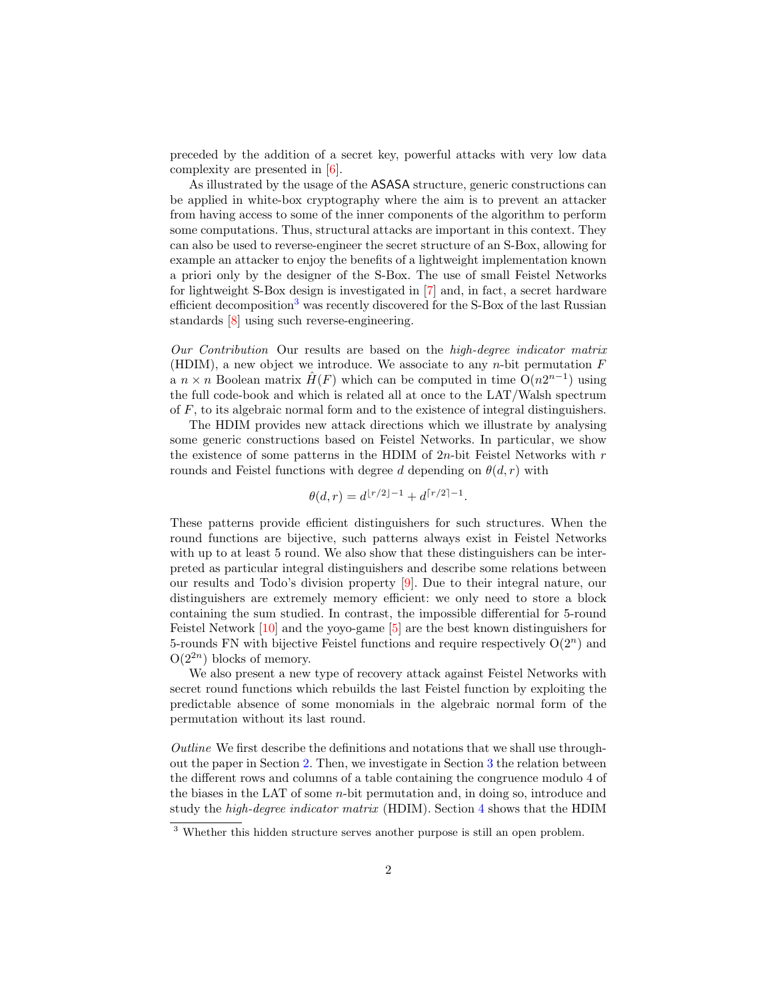preceded by the addition of a secret key, powerful attacks with very low data complexity are presented in [\[6\]](#page-20-0).

As illustrated by the usage of the ASASA structure, generic constructions can be applied in white-box cryptography where the aim is to prevent an attacker from having access to some of the inner components of the algorithm to perform some computations. Thus, structural attacks are important in this context. They can also be used to reverse-engineer the secret structure of an S-Box, allowing for example an attacker to enjoy the benefits of a lightweight implementation known a priori only by the designer of the S-Box. The use of small Feistel Networks for lightweight S-Box design is investigated in [\[7\]](#page-20-1) and, in fact, a secret hardware efficient decomposition<sup>[3](#page-1-0)</sup> was recently discovered for the S-Box of the last Russian standards [\[8\]](#page-20-2) using such reverse-engineering.

Our Contribution Our results are based on the high-degree indicator matrix (HDIM), a new object we introduce. We associate to any  $n$ -bit permutation  $F$ a  $n \times n$  Boolean matrix  $\hat{H}(F)$  which can be computed in time  $O(n2^{n-1})$  using the full code-book and which is related all at once to the LAT/Walsh spectrum of  $F$ , to its algebraic normal form and to the existence of integral distinguishers.

The HDIM provides new attack directions which we illustrate by analysing some generic constructions based on Feistel Networks. In particular, we show the existence of some patterns in the HDIM of  $2n$ -bit Feistel Networks with r rounds and Feistel functions with degree d depending on  $\theta(d, r)$  with

$$
\theta(d,r) = d^{\lfloor r/2 \rfloor - 1} + d^{\lceil r/2 \rceil - 1}.
$$

These patterns provide efficient distinguishers for such structures. When the round functions are bijective, such patterns always exist in Feistel Networks with up to at least 5 round. We also show that these distinguishers can be interpreted as particular integral distinguishers and describe some relations between our results and Todo's division property [\[9\]](#page-20-3). Due to their integral nature, our distinguishers are extremely memory efficient: we only need to store a block containing the sum studied. In contrast, the impossible differential for 5-round Feistel Network [\[10\]](#page-20-4) and the yoyo-game [\[5\]](#page-19-4) are the best known distinguishers for 5-rounds FN with bijective Feistel functions and require respectively  $O(2^n)$  and  $O(2^{2n})$  blocks of memory.

We also present a new type of recovery attack against Feistel Networks with secret round functions which rebuilds the last Feistel function by exploiting the predictable absence of some monomials in the algebraic normal form of the permutation without its last round.

Outline We first describe the definitions and notations that we shall use throughout the paper in Section [2.](#page-3-0) Then, we investigate in Section [3](#page-4-0) the relation between the different rows and columns of a table containing the congruence modulo 4 of the biases in the LAT of some  $n$ -bit permutation and, in doing so, introduce and study the high-degree indicator matrix (HDIM). Section [4](#page-7-0) shows that the HDIM

<span id="page-1-0"></span><sup>3</sup> Whether this hidden structure serves another purpose is still an open problem.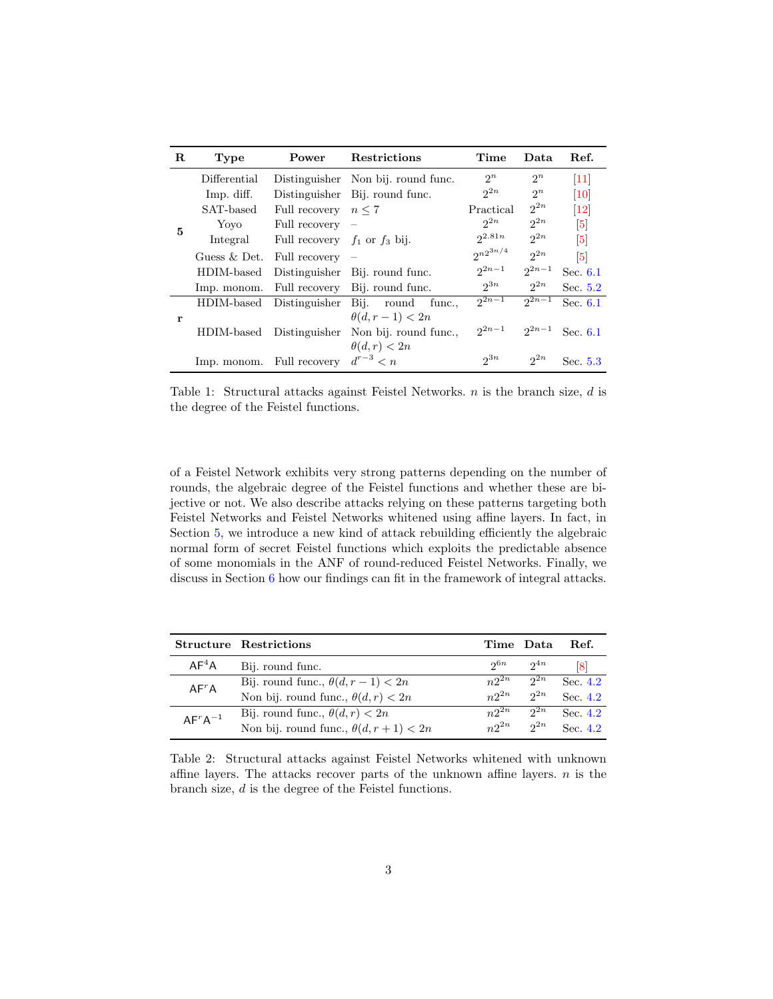| R | Type           | Power                             | <b>Restrictions</b>                 | Time            | Data     | Ref.                          |
|---|----------------|-----------------------------------|-------------------------------------|-----------------|----------|-------------------------------|
| 5 | Differential   |                                   | Distinguisher Non bij. round func.  | $2^n$           | $2^n$    | $\left\lceil 11 \right\rceil$ |
|   | Imp. diff.     |                                   | Distinguisher Bij. round func.      | 2n              | $2^n$    | 10                            |
|   | SAT-based      | Full recovery $n \leq 7$          |                                     | Practical       | $2^{2n}$ | 12                            |
|   | Yoyo           | Full recovery $-$                 |                                     | 2n              | 2n       | $\vert 5 \vert$               |
|   | Integral       | Full recovery $f_1$ or $f_3$ bij. |                                     | $2^{2.81n}$     | $2^{2n}$ | 5                             |
|   | Guess $&$ Det. | Full recovery $-$                 |                                     | $2^{n2^{3n/4}}$ | $2^{2n}$ | $\vert 5 \vert$               |
|   | HDIM-based     |                                   | Distinguisher Bij. round func.      | $2n-1$          | $2n-1$   | Sec. 6.1                      |
|   | Imp. monom.    |                                   | Full recovery Bij. round func.      | $2^{3n}$        | $2^{2n}$ | Sec. 5.2                      |
| r | HDIM-based     | Distinguisher                     | Bij.<br>round<br>func               | $2n-1$          | $2n-1$   | Sec. 6.1                      |
|   |                |                                   | $\theta(d, r-1) < 2n$               |                 |          |                               |
|   | HDIM-based     |                                   | Distinguisher Non bij. round func., | $2n-1$          | $2n-1$   | Sec. 6.1                      |
|   |                |                                   | $\theta(d,r) < 2n$                  |                 |          |                               |
|   | Imp. monom.    | Full recovery                     | $d^{r-3} < n$                       | $2^{3n}$        | 2n       | Sec. 5.3                      |

Table 1: Structural attacks against Feistel Networks.  $n$  is the branch size,  $d$  is the degree of the Feistel functions.

of a Feistel Network exhibits very strong patterns depending on the number of rounds, the algebraic degree of the Feistel functions and whether these are bijective or not. We also describe attacks relying on these patterns targeting both Feistel Networks and Feistel Networks whitened using affine layers. In fact, in Section [5,](#page-12-0) we introduce a new kind of attack rebuilding efficiently the algebraic normal form of secret Feistel functions which exploits the predictable absence of some monomials in the ANF of round-reduced Feistel Networks. Finally, we discuss in Section [6](#page-17-1) how our findings can fit in the framework of integral attacks.

|                   | <b>Structure Restrictions</b>                 | Time Data |          | Ref.       |
|-------------------|-----------------------------------------------|-----------|----------|------------|
| AF <sup>4</sup> A | Bij. round func.                              | 26n       | $2^{4n}$ | <u>[8]</u> |
| AF <sup>r</sup> A | Bij. round func., $\theta(d, r - 1) < 2n$     | $n2^{2n}$ | $2^{2n}$ | Sec. 4.2   |
|                   | Non bij. round func., $\theta(d, r) < 2n$     | $n2^{2n}$ | $2^{2n}$ | Sec. $4.2$ |
| $AF^rA^{-1}$      | Bij. round func., $\theta(d, r) < 2n$         | $n2^{2n}$ | $2^{2n}$ | Sec. $4.2$ |
|                   | Non bij. round func., $\theta(d, r + 1) < 2n$ | $n2^{2n}$ | $2^{2n}$ | Sec. $4.2$ |

Table 2: Structural attacks against Feistel Networks whitened with unknown affine layers. The attacks recover parts of the unknown affine layers.  $n$  is the branch size,  $d$  is the degree of the Feistel functions.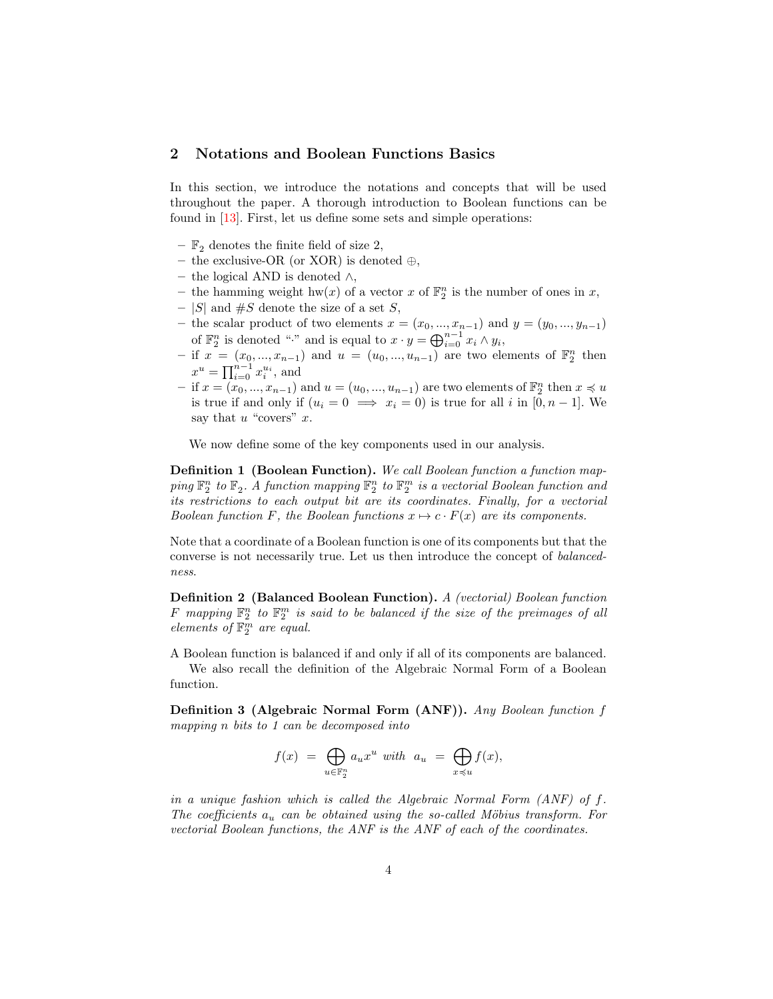### <span id="page-3-0"></span>2 Notations and Boolean Functions Basics

In this section, we introduce the notations and concepts that will be used throughout the paper. A thorough introduction to Boolean functions can be found in [\[13\]](#page-20-7). First, let us define some sets and simple operations:

- $\mathbb{F}_2$  denotes the finite field of size 2,
- the exclusive-OR (or XOR) is denoted  $\oplus$ ,
- the logical AND is denoted ∧,
- the hamming weight  $hw(x)$  of a vector x of  $\mathbb{F}_2^n$  is the number of ones in x,
- |S| and  $\#S$  denote the size of a set S,
- the scalar product of two elements  $x = (x_0, ..., x_{n-1})$  and  $y = (y_0, ..., y_{n-1})$ of  $\mathbb{F}_2^n$  is denoted "·" and is equal to  $x \cdot y = \bigoplus_{i=0}^{n-1} x_i \wedge y_i$ ,
- if  $x = (x_0, ..., x_{n-1})$  and  $u = (u_0, ..., u_{n-1})$  are two elements of  $\mathbb{F}_2^n$  then  $x^u = \prod_{i=0}^{n-1} x_i^{u_i}$ , and
- $-$  if  $x = (x_0, ..., x_{n-1})$  and  $u = (u_0, ..., u_{n-1})$  are two elements of  $\mathbb{F}_2^n$  then  $x \preccurlyeq u$ is true if and only if  $(u_i = 0 \implies x_i = 0)$  is true for all i in  $[0, n-1]$ . We say that  $u$  "covers"  $x$ .

We now define some of the key components used in our analysis.

Definition 1 (Boolean Function). We call Boolean function a function map- $\hat{P}_1^n$  to  $\mathbb{F}_2$ . A function mapping  $\mathbb{F}_2^n$  to  $\mathbb{F}_2^m$  is a vectorial Boolean function and its restrictions to each output bit are its coordinates. Finally, for a vectorial Boolean function F, the Boolean functions  $x \mapsto c \cdot F(x)$  are its components.

Note that a coordinate of a Boolean function is one of its components but that the converse is not necessarily true. Let us then introduce the concept of balancedness.

Definition 2 (Balanced Boolean Function). A (vectorial) Boolean function F mapping  $\mathbb{F}_2^n$  to  $\mathbb{F}_2^m$  is said to be balanced if the size of the preimages of all elements of  $\mathbb{F}_2^m$  are equal.

A Boolean function is balanced if and only if all of its components are balanced. We also recall the definition of the Algebraic Normal Form of a Boolean function.

Definition 3 (Algebraic Normal Form (ANF)). Any Boolean function f mapping n bits to 1 can be decomposed into

$$
f(x) = \bigoplus_{u \in \mathbb{F}_2^n} a_u x^u \text{ with } a_u = \bigoplus_{x \preccurlyeq u} f(x),
$$

in a unique fashion which is called the Algebraic Normal Form  $(ANF)$  of f. The coefficients  $a_u$  can be obtained using the so-called Möbius transform. For vectorial Boolean functions, the ANF is the ANF of each of the coordinates.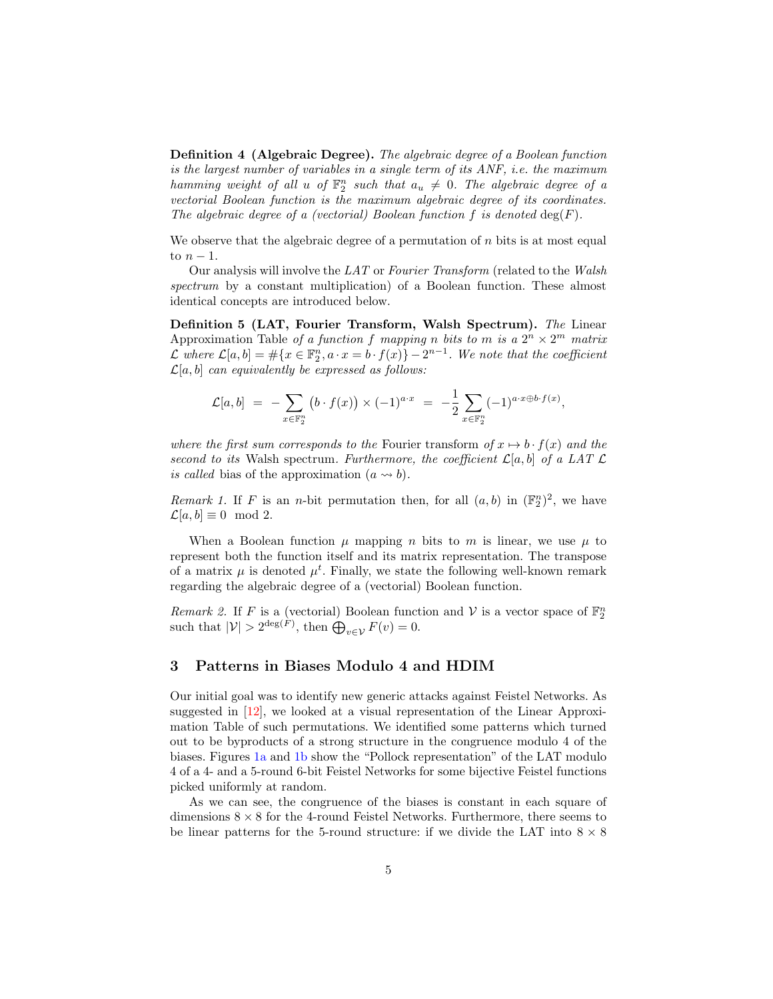Definition 4 (Algebraic Degree). The algebraic degree of a Boolean function is the largest number of variables in a single term of its ANF, i.e. the maximum hamming weight of all u of  $\mathbb{F}_2^n$  such that  $a_u \neq 0$ . The algebraic degree of a vectorial Boolean function is the maximum algebraic degree of its coordinates. The algebraic degree of a (vectorial) Boolean function f is denoted  $\deg(F)$ .

We observe that the algebraic degree of a permutation of  $n$  bits is at most equal to  $n-1$ .

Our analysis will involve the LAT or Fourier Transform (related to the Walsh spectrum by a constant multiplication) of a Boolean function. These almost identical concepts are introduced below.

Definition 5 (LAT, Fourier Transform, Walsh Spectrum). The Linear Approximation Table of a function f mapping n bits to m is a  $2^n \times 2^m$  matrix L where  $\mathcal{L}[a,b] = \#\{x \in \mathbb{F}_2^n, a \cdot x = b \cdot f(x)\} - 2^{n-1}$ . We note that the coefficient  $\mathcal{L}[a, b]$  can equivalently be expressed as follows:

$$
\mathcal{L}[a,b] = -\sum_{x \in \mathbb{F}_2^n} (b \cdot f(x)) \times (-1)^{a \cdot x} = -\frac{1}{2} \sum_{x \in \mathbb{F}_2^n} (-1)^{a \cdot x \oplus b \cdot f(x)},
$$

where the first sum corresponds to the Fourier transform of  $x \mapsto b \cdot f(x)$  and the second to its Walsh spectrum. Furthermore, the coefficient  $\mathcal{L}[a, b]$  of a LAT  $\mathcal{L}$ is called bias of the approximation  $(a \rightarrow b)$ .

Remark 1. If F is an n-bit permutation then, for all  $(a, b)$  in  $(\mathbb{F}_2^n)^2$ , we have  $\mathcal{L}[a, b] \equiv 0 \mod 2.$ 

When a Boolean function  $\mu$  mapping  $n$  bits to  $m$  is linear, we use  $\mu$  to represent both the function itself and its matrix representation. The transpose of a matrix  $\mu$  is denoted  $\mu^t$ . Finally, we state the following well-known remark regarding the algebraic degree of a (vectorial) Boolean function.

Remark 2. If F is a (vectorial) Boolean function and V is a vector space of  $\mathbb{F}_2^n$ such that  $|\mathcal{V}| > 2^{\deg(F)}$ , then  $\bigoplus_{v \in \mathcal{V}} F(v) = 0$ .

# <span id="page-4-0"></span>3 Patterns in Biases Modulo 4 and HDIM

Our initial goal was to identify new generic attacks against Feistel Networks. As suggested in [\[12\]](#page-20-6), we looked at a visual representation of the Linear Approximation Table of such permutations. We identified some patterns which turned out to be byproducts of a strong structure in the congruence modulo 4 of the biases. Figures [1a](#page-5-0) and [1b](#page-5-0) show the "Pollock representation" of the LAT modulo 4 of a 4- and a 5-round 6-bit Feistel Networks for some bijective Feistel functions picked uniformly at random.

As we can see, the congruence of the biases is constant in each square of dimensions  $8 \times 8$  for the 4-round Feistel Networks. Furthermore, there seems to be linear patterns for the 5-round structure: if we divide the LAT into  $8 \times 8$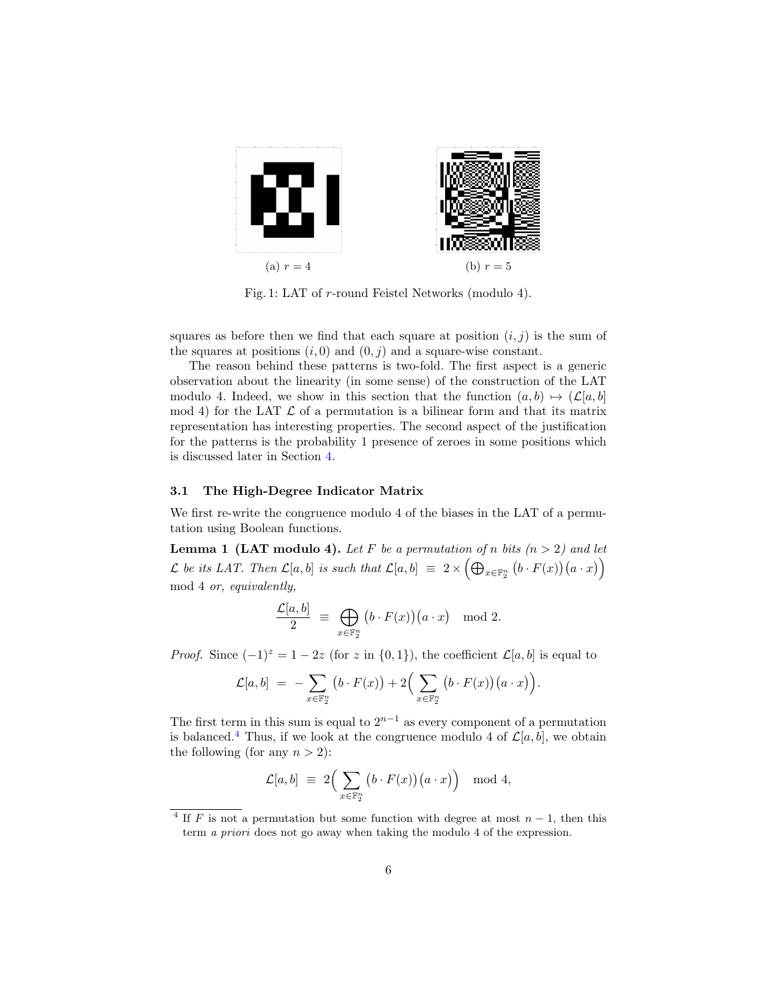<span id="page-5-0"></span>

Fig. 1: LAT of  $r$ -round Feistel Networks (modulo 4).

squares as before then we find that each square at position  $(i, j)$  is the sum of the squares at positions  $(i, 0)$  and  $(0, j)$  and a square-wise constant.

The reason behind these patterns is two-fold. The first aspect is a generic observation about the linearity (in some sense) of the construction of the LAT modulo 4. Indeed, we show in this section that the function  $(a, b) \mapsto (\mathcal{L}[a, b])$ mod 4) for the LAT  $\mathcal L$  of a permutation is a bilinear form and that its matrix representation has interesting properties. The second aspect of the justification for the patterns is the probability 1 presence of zeroes in some positions which is discussed later in Section [4.](#page-7-0)

### 3.1 The High-Degree Indicator Matrix

We first re-write the congruence modulo 4 of the biases in the LAT of a permutation using Boolean functions.

**Lemma 1 (LAT modulo 4).** Let F be a permutation of n bits  $(n > 2)$  and let  $\mathcal L$  be its LAT. Then  $\mathcal L[a,b]$  is such that  $\mathcal L[a,b] \ \equiv \ 2 \times \Big(\bigoplus_{x \in \mathbb F_2^n} \big(b \cdot F(x)\big)\big(a \cdot x\big)\Big)$ mod 4 or, equivalently,

$$
\frac{\mathcal{L}[a,b]}{2} \equiv \bigoplus_{x \in \mathbb{F}_2^n} \big(b \cdot F(x)\big)\big(a \cdot x\big) \mod 2.
$$

*Proof.* Since  $(-1)^{z} = 1 - 2z$  (for z in  $\{0, 1\}$ ), the coefficient  $\mathcal{L}[a, b]$  is equal to

$$
\mathcal{L}[a,b] = -\sum_{x \in \mathbb{F}_2^n} (b \cdot F(x)) + 2\Big(\sum_{x \in \mathbb{F}_2^n} (b \cdot F(x))(a \cdot x)\Big).
$$

The first term in this sum is equal to  $2^{n-1}$  as every component of a permutation is balanced.<sup>[4](#page-5-1)</sup> Thus, if we look at the congruence modulo 4 of  $\mathcal{L}[a, b]$ , we obtain the following (for any  $n > 2$ ):

$$
\mathcal{L}[a,b] \ \equiv \ 2 \Big( \sum_{x \in \mathbb{F}_2^n} \big(b \cdot F(x)\big) \big(a \cdot x\big) \Big) \mod 4,
$$

<span id="page-5-1"></span><sup>&</sup>lt;sup>4</sup> If F is not a permutation but some function with degree at most  $n-1$ , then this term a priori does not go away when taking the modulo 4 of the expression.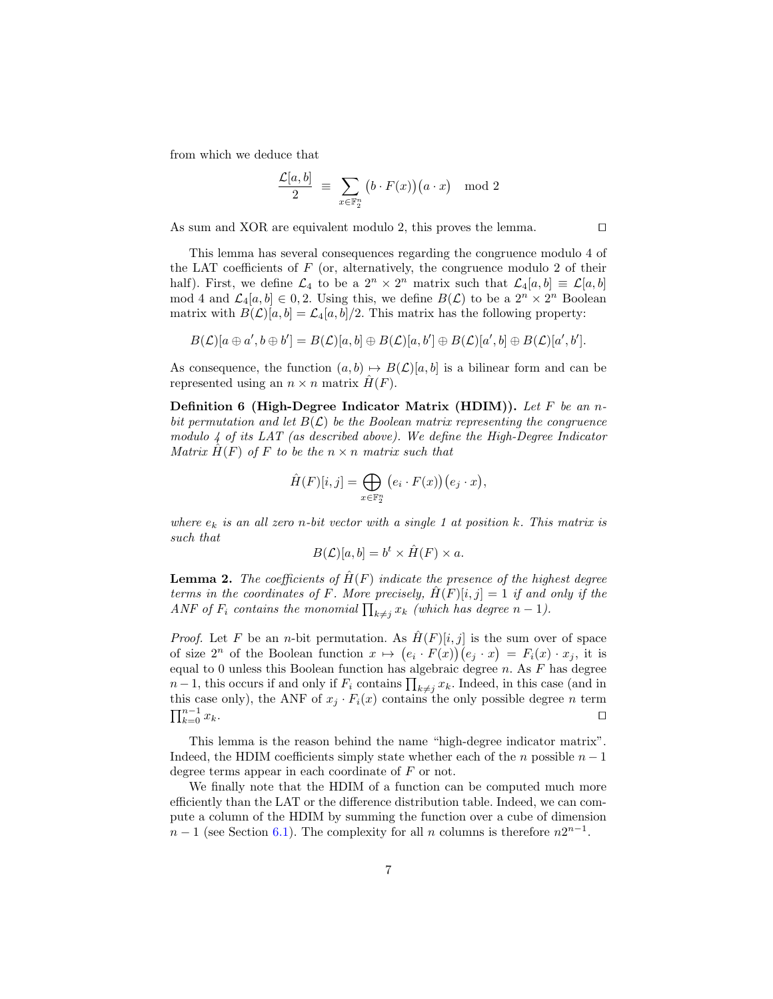from which we deduce that

$$
\frac{\mathcal{L}[a,b]}{2} ~\equiv~ \sum_{x\in\mathbb{F}_2^n} \big(b\cdot F(x)\big)\big(a\cdot x\big) \mod 2
$$

As sum and XOR are equivalent modulo 2, this proves the lemma. ⊓⊔

This lemma has several consequences regarding the congruence modulo 4 of the LAT coefficients of  $F$  (or, alternatively, the congruence modulo 2 of their half). First, we define  $\mathcal{L}_4$  to be a  $2^n \times 2^n$  matrix such that  $\mathcal{L}_4[a, b] \equiv \mathcal{L}[a, b]$ mod 4 and  $\mathcal{L}_4[a, b] \in 0, 2$ . Using this, we define  $B(\mathcal{L})$  to be a  $2^n \times 2^n$  Boolean matrix with  $B(\mathcal{L})[a, b] = \mathcal{L}_4[a, b]/2$ . This matrix has the following property:

$$
B(\mathcal{L})[a \oplus a', b \oplus b'] = B(\mathcal{L})[a, b] \oplus B(\mathcal{L})[a, b'] \oplus B(\mathcal{L})[a', b] \oplus B(\mathcal{L})[a', b'].
$$

As consequence, the function  $(a, b) \mapsto B(\mathcal{L})[a, b]$  is a bilinear form and can be represented using an  $n \times n$  matrix  $\hat{H}(F)$ .

Definition 6 (High-Degree Indicator Matrix (HDIM)). Let  $F$  be an nbit permutation and let  $B(\mathcal{L})$  be the Boolean matrix representing the congruence modulo 4 of its LAT (as described above). We define the High-Degree Indicator Matrix  $H(F)$  of F to be the  $n \times n$  matrix such that

$$
\hat{H}(F)[i,j] = \bigoplus_{x \in \mathbb{F}_2^n} (e_i \cdot F(x))(e_j \cdot x),
$$

where  $e_k$  is an all zero n-bit vector with a single 1 at position k. This matrix is such that

$$
B(\mathcal{L})[a, b] = b^t \times \hat{H}(F) \times a.
$$

**Lemma 2.** The coefficients of  $\hat{H}(F)$  indicate the presence of the highest degree terms in the coordinates of F. More precisely,  $H(F)[i, j] = 1$  if and only if the ANF of  $F_i$  contains the monomial  $\prod_{k\neq j} x_k$  (which has degree  $n-1$ ).

*Proof.* Let F be an *n*-bit permutation. As  $\hat{H}(F)[i, j]$  is the sum over of space of size  $2^n$  of the Boolean function  $x \mapsto (e_i \cdot F(x))(e_j \cdot x) = F_i(x) \cdot x_j$ , it is equal to 0 unless this Boolean function has algebraic degree  $n$ . As  $F$  has degree  $n-1$ , this occurs if and only if  $F_i$  contains  $\prod_{k\neq j} x_k$ . Indeed, in this case (and in this case only), the ANF of  $x_j \cdot F_i(x)$  contains the only possible degree *n* term  $\prod_{k=0}^{n-1} x_k.$  $\sum_{k=0}^{n-1} x_k$ .

This lemma is the reason behind the name "high-degree indicator matrix". Indeed, the HDIM coefficients simply state whether each of the  $n$  possible  $n-1$ degree terms appear in each coordinate of  $F$  or not.

We finally note that the HDIM of a function can be computed much more efficiently than the LAT or the difference distribution table. Indeed, we can compute a column of the HDIM by summing the function over a cube of dimension  $n-1$  (see Section [6.1\)](#page-17-0). The complexity for all  $n$  columns is therefore  $n2^{n-1}$ .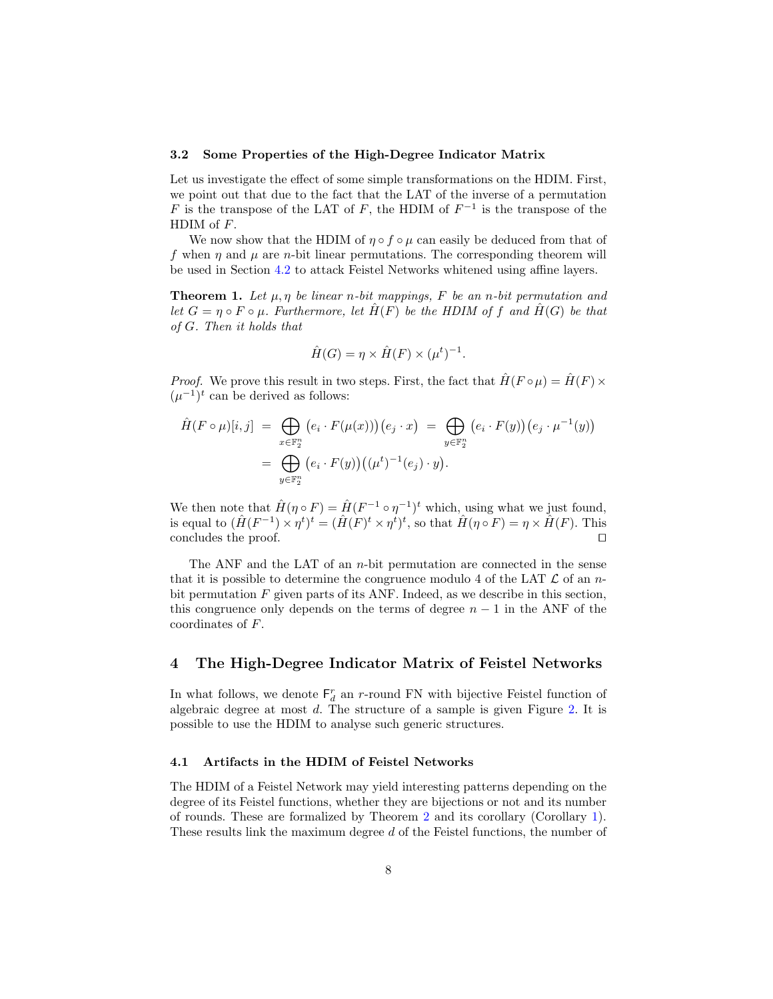#### 3.2 Some Properties of the High-Degree Indicator Matrix

Let us investigate the effect of some simple transformations on the HDIM. First, we point out that due to the fact that the LAT of the inverse of a permutation F is the transpose of the LAT of F, the HDIM of  $F^{-1}$  is the transpose of the HDIM of  $F$ .

We now show that the HDIM of  $\eta \circ f \circ \mu$  can easily be deduced from that of f when  $\eta$  and  $\mu$  are *n*-bit linear permutations. The corresponding theorem will be used in Section [4.2](#page-10-0) to attack Feistel Networks whitened using affine layers.

<span id="page-7-1"></span>**Theorem 1.** Let  $\mu$ ,  $\eta$  be linear  $n$ -bit mappings, F be an  $n$ -bit permutation and let  $G = \eta \circ F \circ \mu$ . Furthermore, let  $\hat{H}(F)$  be the HDIM of f and  $\hat{H}(G)$  be that  $of G.$  Then it holds that

$$
\hat{H}(G) = \eta \times \hat{H}(F) \times (\mu^t)^{-1}.
$$

*Proof.* We prove this result in two steps. First, the fact that  $\hat{H}(F \circ \mu) = \hat{H}(F) \times$  $(\mu^{-1})^t$  can be derived as follows:

$$
\hat{H}(F \circ \mu)[i,j] = \bigoplus_{x \in \mathbb{F}_2^n} (e_i \cdot F(\mu(x))) (e_j \cdot x) = \bigoplus_{y \in \mathbb{F}_2^n} (e_i \cdot F(y)) (e_j \cdot \mu^{-1}(y))
$$

$$
= \bigoplus_{y \in \mathbb{F}_2^n} (e_i \cdot F(y)) ((\mu^t)^{-1}(e_j) \cdot y).
$$

We then note that  $\hat{H}(\eta \circ F) = \hat{H}(F^{-1} \circ \eta^{-1})^t$  which, using what we just found, is equal to  $(\hat{H}(F^{-1}) \times \eta^t)^t = (\hat{H}(F)^t \times \eta^t)^t$ , so that  $\hat{H}(\eta \circ F) = \eta \times \hat{H}(F)$ . This concludes the proof. ⊓⊔

The ANF and the LAT of an  $n$ -bit permutation are connected in the sense that it is possible to determine the congruence modulo 4 of the LAT  $\mathcal L$  of an nbit permutation  $F$  given parts of its ANF. Indeed, as we describe in this section, this congruence only depends on the terms of degree  $n-1$  in the ANF of the coordinates of  $F$ .

# <span id="page-7-0"></span>4 The High-Degree Indicator Matrix of Feistel Networks

In what follows, we denote  $\mathsf{F}^r_d$  an *r*-round FN with bijective Feistel function of algebraic degree at most  $d$ . The structure of a sample is given Figure [2.](#page-8-0) It is possible to use the HDIM to analyse such generic structures.

#### 4.1 Artifacts in the HDIM of Feistel Networks

The HDIM of a Feistel Network may yield interesting patterns depending on the degree of its Feistel functions, whether they are bijections or not and its number of rounds. These are formalized by Theorem [2](#page-8-1) and its corollary (Corollary [1\)](#page-8-2). These results link the maximum degree  $d$  of the Feistel functions, the number of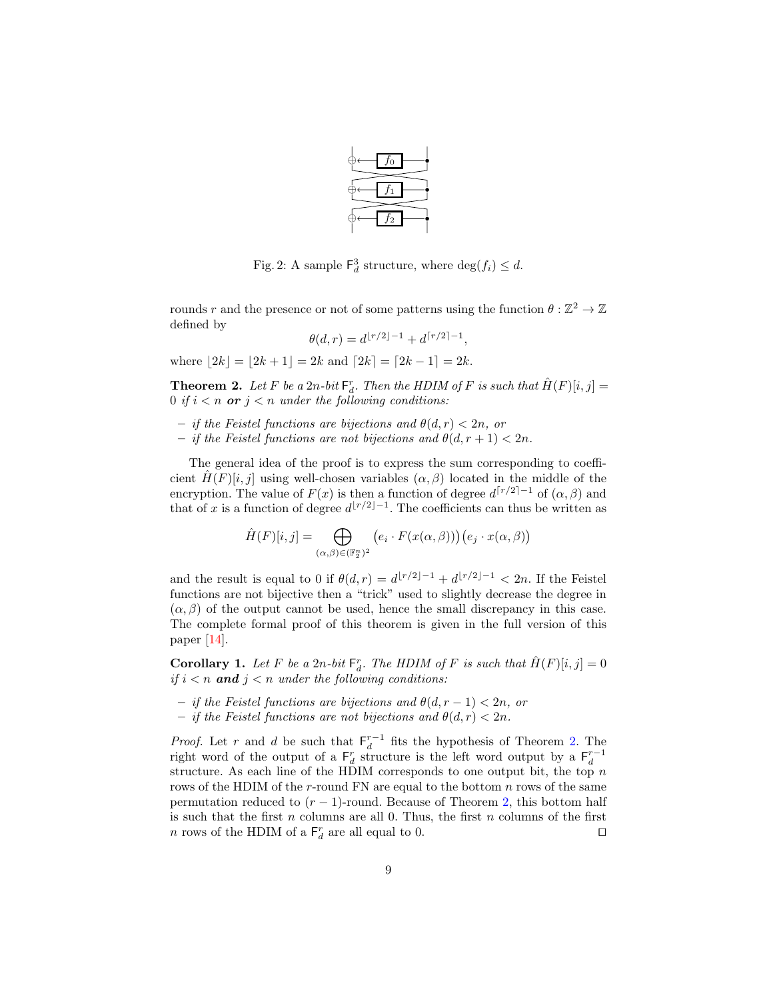

<span id="page-8-0"></span>Fig. 2: A sample  $\mathsf{F}_d^3$  structure, where  $\deg(f_i) \leq d$ .

rounds r and the presence or not of some patterns using the function  $\theta : \mathbb{Z}^2 \to \mathbb{Z}$ defined by

$$
\theta(d,r) = d^{\lfloor r/2 \rfloor - 1} + d^{\lceil r/2 \rceil - 1},
$$

where  $|2k| = |2k+1| = 2k$  and  $[2k] = [2k-1] = 2k$ .

<span id="page-8-1"></span>**Theorem 2.** Let F be a 2n-bit  $\mathsf{F}_d^r$ . Then the HDIM of F is such that  $\hat{H}(F)[i, j] =$ 0 if  $i < n$  or  $j < n$  under the following conditions:

- if the Feistel functions are bijections and  $\theta(d, r) < 2n$ , or
- if the Feistel functions are not bijections and  $\theta(d, r + 1) < 2n$ .

The general idea of the proof is to express the sum corresponding to coefficient  $\hat{H}(F)[i, j]$  using well-chosen variables  $(\alpha, \beta)$  located in the middle of the encryption. The value of  $F(x)$  is then a function of degree  $d^{[r/2]-1}$  of  $(\alpha, \beta)$  and that of x is a function of degree  $d^{[r/2]-1}$ . The coefficients can thus be written as

$$
\hat{H}(F)[i,j] = \bigoplus_{(\alpha,\beta) \in (\mathbb{F}_2^n)^2} \left( e_i \cdot F(x(\alpha,\beta)) \right) \left( e_j \cdot x(\alpha,\beta) \right)
$$

and the result is equal to 0 if  $\theta(d, r) = d^{\lfloor r/2 \rfloor - 1} + d^{\lfloor r/2 \rfloor - 1} < 2n$ . If the Feistel functions are not bijective then a "trick" used to slightly decrease the degree in  $(\alpha, \beta)$  of the output cannot be used, hence the small discrepancy in this case. The complete formal proof of this theorem is given in the full version of this paper [\[14\]](#page-20-8).

<span id="page-8-2"></span>**Corollary 1.** Let F be a  $2n$ -bit  $\mathsf{F}_d^r$ . The HDIM of F is such that  $\hat{H}(F)[i, j] = 0$ if  $i < n$  and  $j < n$  under the following conditions:

- if the Feistel functions are bijections and  $\theta(d, r 1) < 2n$ , or
- if the Feistel functions are not bijections and  $\theta(d, r) < 2n$ .

*Proof.* Let r and d be such that  $F_d^{r-1}$  fits the hypothesis of Theorem [2.](#page-8-1) The right word of the output of a  $F_d^r$  structure is the left word output by a  $F_d^{r-1}$ structure. As each line of the HDIM corresponds to one output bit, the top  $n$ rows of the HDIM of the  $r$ -round FN are equal to the bottom  $n$  rows of the same permutation reduced to  $(r-1)$ -round. Because of Theorem [2,](#page-8-1) this bottom half is such that the first  $n$  columns are all 0. Thus, the first  $n$  columns of the first *n* rows of the HDIM of a  $\mathsf{F}_d^r$  are all equal to 0.  $\Box$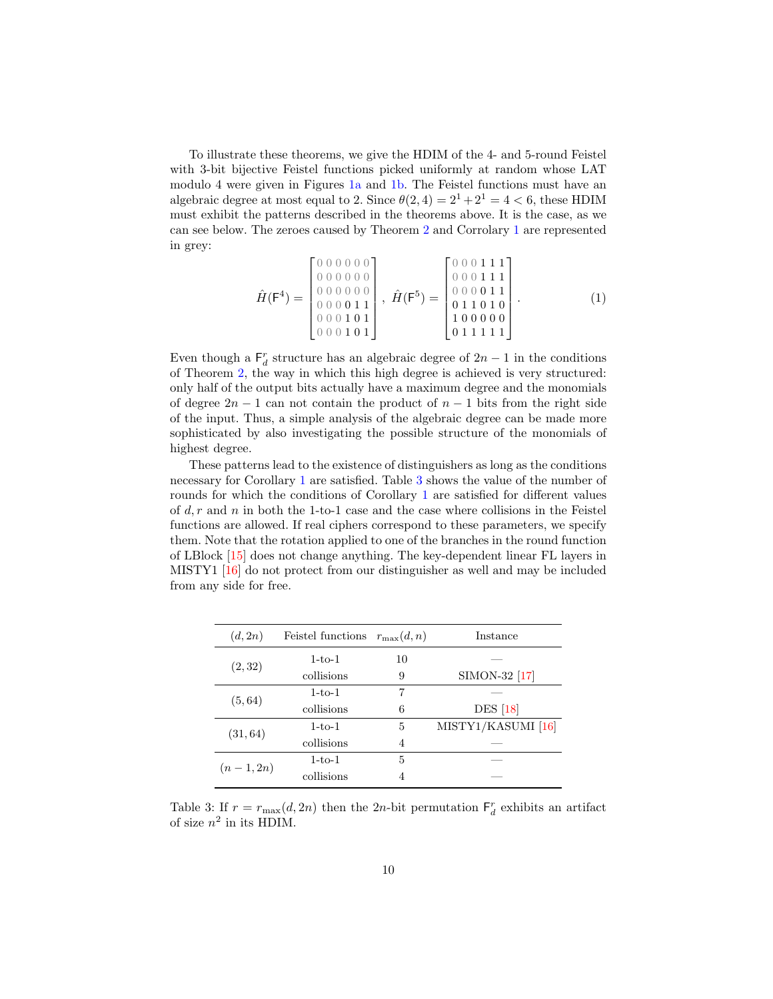To illustrate these theorems, we give the HDIM of the 4- and 5-round Feistel with 3-bit bijective Feistel functions picked uniformly at random whose LAT modulo 4 were given in Figures [1a](#page-5-0) and [1b.](#page-5-0) The Feistel functions must have an algebraic degree at most equal to 2. Since  $\theta(2, 4) = 2^1 + 2^1 = 4 < 6$ , these HDIM must exhibit the patterns described in the theorems above. It is the case, as we can see below. The zeroes caused by Theorem [2](#page-8-1) and Corrolary [1](#page-8-2) are represented in grey:

$$
\hat{H}(\mathsf{F}^4) = \begin{bmatrix} 0 & 0 & 0 & 0 & 0 & 0 \\ 0 & 0 & 0 & 0 & 0 & 0 \\ 0 & 0 & 0 & 0 & 0 & 0 \\ 0 & 0 & 0 & 0 & 1 & 1 \\ 0 & 0 & 0 & 1 & 0 & 1 \\ 0 & 0 & 0 & 1 & 0 & 1 \end{bmatrix}, \quad \hat{H}(\mathsf{F}^5) = \begin{bmatrix} 0 & 0 & 0 & 1 & 1 & 1 \\ 0 & 0 & 0 & 1 & 1 & 1 \\ 0 & 0 & 0 & 0 & 1 & 1 \\ 0 & 1 & 1 & 0 & 1 & 0 \\ 0 & 1 & 1 & 1 & 1 & 1 \end{bmatrix} . \tag{1}
$$

Even though a  $\mathsf{F}_d^r$  structure has an algebraic degree of  $2n-1$  in the conditions of Theorem [2,](#page-8-1) the way in which this high degree is achieved is very structured: only half of the output bits actually have a maximum degree and the monomials of degree  $2n - 1$  can not contain the product of  $n - 1$  bits from the right side of the input. Thus, a simple analysis of the algebraic degree can be made more sophisticated by also investigating the possible structure of the monomials of highest degree.

These patterns lead to the existence of distinguishers as long as the conditions necessary for Corollary [1](#page-8-2) are satisfied. Table [3](#page-9-0) shows the value of the number of rounds for which the conditions of Corollary [1](#page-8-2) are satisfied for different values of  $d, r$  and  $n$  in both the 1-to-1 case and the case where collisions in the Feistel functions are allowed. If real ciphers correspond to these parameters, we specify them. Note that the rotation applied to one of the branches in the round function of LBlock [\[15\]](#page-20-9) does not change anything. The key-dependent linear FL layers in MISTY1 [\[16\]](#page-20-10) do not protect from our distinguisher as well and may be included from any side for free.

<span id="page-9-0"></span>

| (d, 2n)     | Feistel functions | $r_{\max}(d,n)$ | Instance           |
|-------------|-------------------|-----------------|--------------------|
|             | $1-to-1$          | 10              |                    |
| (2, 32)     | collisions        | 9               | SIMON-32 [17]      |
|             | $1-to-1$          | 7               |                    |
| (5, 64)     | collisions        | 6               | <b>DES</b> [18]    |
| (31, 64)    | $1-to-1$          | 5               | MISTY1/KASUMI [16] |
|             | collisions        | 4               |                    |
| $(n-1, 2n)$ | $1-to-1$          | 5               |                    |
|             | collisions        | 4               |                    |

Table 3: If  $r = r_{\text{max}}(d, 2n)$  then the 2n-bit permutation  $\mathsf{F}_d^r$  exhibits an artifact of size  $n^2$  in its HDIM.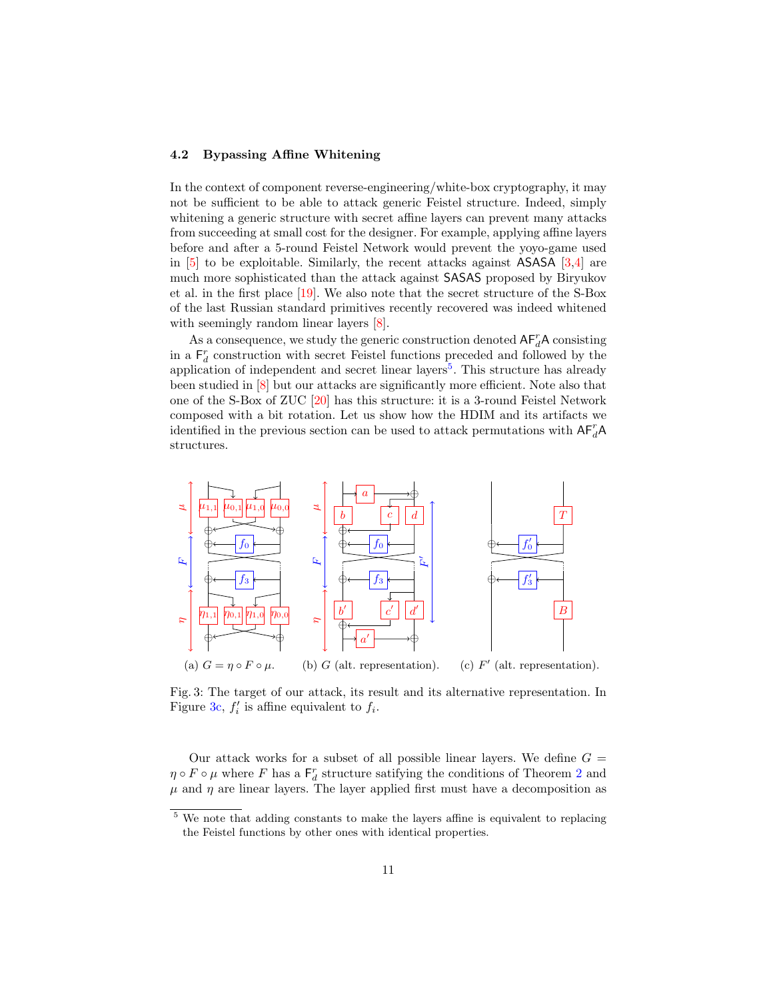### <span id="page-10-0"></span>4.2 Bypassing Affine Whitening

In the context of component reverse-engineering/white-box cryptography, it may not be sufficient to be able to attack generic Feistel structure. Indeed, simply whitening a generic structure with secret affine layers can prevent many attacks from succeeding at small cost for the designer. For example, applying affine layers before and after a 5-round Feistel Network would prevent the yoyo-game used in  $[5]$  to be exploitable. Similarly, the recent attacks against ASASA  $[3,4]$  $[3,4]$  are much more sophisticated than the attack against SASAS proposed by Biryukov et al. in the first place [\[19\]](#page-20-13). We also note that the secret structure of the S-Box of the last Russian standard primitives recently recovered was indeed whitened with seemingly random linear layers  $[8]$ .

As a consequence, we study the generic construction denoted  $AF_d^rA$  consisting in a  $F_d^r$  construction with secret Feistel functions preceded and followed by the application of independent and secret linear layers<sup>[5](#page-10-1)</sup>. This structure has already been studied in [\[8\]](#page-20-2) but our attacks are significantly more efficient. Note also that one of the S-Box of ZUC [\[20\]](#page-20-14) has this structure: it is a 3-round Feistel Network composed with a bit rotation. Let us show how the HDIM and its artifacts we identified in the previous section can be used to attack permutations with  $\mathsf{AF}^r_d\mathsf{A}$ structures.

<span id="page-10-2"></span>

Fig. 3: The target of our attack, its result and its alternative representation. In Figure [3c,](#page-10-2)  $f_i'$  is affine equivalent to  $f_i$ .

Our attack works for a subset of all possible linear layers. We define  $G =$  $\eta \circ F \circ \mu$  where  $F$  has a  $\mathsf{F}_d^r$  structure satifying the conditions of Theorem [2](#page-8-1) and  $\mu$  and  $\eta$  are linear layers. The layer applied first must have a decomposition as

<span id="page-10-1"></span><sup>&</sup>lt;sup>5</sup> We note that adding constants to make the layers affine is equivalent to replacing the Feistel functions by other ones with identical properties.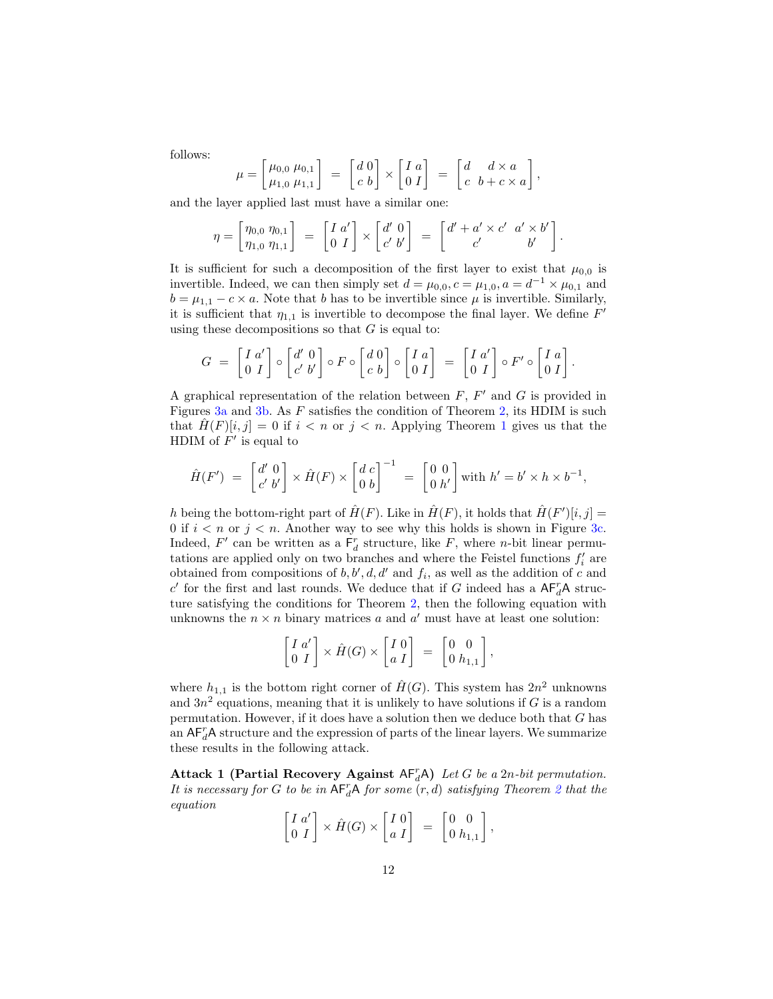follows:

$$
\mu = \begin{bmatrix} \mu_{0,0} & \mu_{0,1} \\ \mu_{1,0} & \mu_{1,1} \end{bmatrix} = \begin{bmatrix} d & 0 \\ c & b \end{bmatrix} \times \begin{bmatrix} I & a \\ 0 & I \end{bmatrix} = \begin{bmatrix} d & d \times a \\ c & b + c \times a \end{bmatrix},
$$

and the layer applied last must have a similar one:

$$
\eta = \begin{bmatrix} \eta_{0,0} & \eta_{0,1} \\ \eta_{1,0} & \eta_{1,1} \end{bmatrix} = \begin{bmatrix} I & a' \\ 0 & I \end{bmatrix} \times \begin{bmatrix} d' & 0 \\ c' & b' \end{bmatrix} = \begin{bmatrix} d' + a' \times c' & a' \times b' \\ c' & b' \end{bmatrix}.
$$

It is sufficient for such a decomposition of the first layer to exist that  $\mu_{0,0}$  is invertible. Indeed, we can then simply set  $d = \mu_{0,0}$ ,  $c = \mu_{1,0}$ ,  $a = d^{-1} \times \mu_{0,1}$  and  $b = \mu_{1,1} - c \times a$ . Note that *b* has to be invertible since  $\mu$  is invertible. Similarly, it is sufficient that  $\eta_{1,1}$  is invertible to decompose the final layer. We define  $F'$ using these decompositions so that  $G$  is equal to:

$$
G = \begin{bmatrix} I & a' \\ 0 & I \end{bmatrix} \circ \begin{bmatrix} d' & 0 \\ c' & b' \end{bmatrix} \circ F \circ \begin{bmatrix} d & 0 \\ c & b \end{bmatrix} \circ \begin{bmatrix} I & a \\ 0 & I \end{bmatrix} = \begin{bmatrix} I & a' \\ 0 & I \end{bmatrix} \circ F' \circ \begin{bmatrix} I & a \\ 0 & I \end{bmatrix}.
$$

A graphical representation of the relation between  $F, F'$  and  $G$  is provided in Figures [3a](#page-10-2) and [3b.](#page-10-2) As  $F$  satisfies the condition of Theorem [2,](#page-8-1) its HDIM is such that  $H(F)[i, j] = 0$  if  $i < n$  or  $j < n$ . Applying Theorem [1](#page-7-1) gives us that the HDIM of  $F'$  is equal to

$$
\hat{H}(F') = \begin{bmatrix} d' & 0 \\ c' & b' \end{bmatrix} \times \hat{H}(F) \times \begin{bmatrix} d & c \\ 0 & b \end{bmatrix}^{-1} = \begin{bmatrix} 0 & 0 \\ 0 & h' \end{bmatrix} \text{with } h' = b' \times h \times b^{-1},
$$

h being the bottom-right part of  $\hat{H}(F)$ . Like in  $\hat{H}(F)$ , it holds that  $\hat{H}(F')[i, j] =$ 0 if  $i < n$  or  $j < n$ . Another way to see why this holds is shown in Figure [3c.](#page-10-2) Indeed,  $F'$  can be written as a  $F_d^r$  structure, like  $F$ , where *n*-bit linear permutations are applied only on two branches and where the Feistel functions  $f'_{i}$  are obtained from compositions of  $b, b', d, d'$  and  $f_i$ , as well as the addition of c and  $c'$  for the first and last rounds. We deduce that if  $G$  indeed has a  $AF_d^rA$  structure satisfying the conditions for Theorem [2,](#page-8-1) then the following equation with unknowns the  $n \times n$  binary matrices a and a' must have at least one solution:

$$
\begin{bmatrix} I & a' \\ 0 & I \end{bmatrix} \times \hat{H}(G) \times \begin{bmatrix} I & 0 \\ a & I \end{bmatrix} = \begin{bmatrix} 0 & 0 \\ 0 & h_{1,1} \end{bmatrix},
$$

where  $h_{1,1}$  is the bottom right corner of  $\hat{H}(G)$ . This system has  $2n^2$  unknowns and  $3n^2$  equations, meaning that it is unlikely to have solutions if G is a random permutation. However, if it does have a solution then we deduce both that  $G$  has an  $AF_d^rA$  structure and the expression of parts of the linear layers. We summarize these results in the following attack.

Attack 1 (Partial Recovery Against  $AF_d^rA$ ) Let G be a 2n-bit permutation. It is necessary for G to be in  $\mathsf{AF}^r_d\mathsf{A}$  for some  $(r,d)$  satisfying Theorem [2](#page-8-1) that the equation

$$
\begin{bmatrix} I & a' \\ 0 & I \end{bmatrix} \times \hat{H}(G) \times \begin{bmatrix} I & 0 \\ a & I \end{bmatrix} = \begin{bmatrix} 0 & 0 \\ 0 & h_{1,1} \end{bmatrix},
$$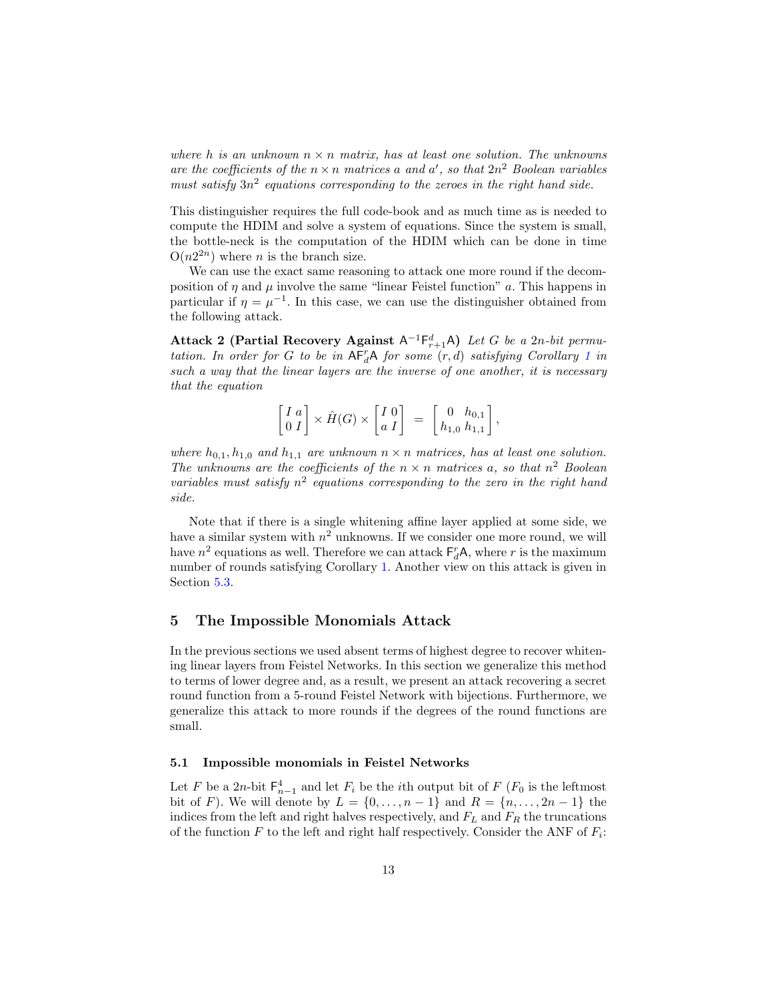where h is an unknown  $n \times n$  matrix, has at least one solution. The unknowns are the coefficients of the  $n \times n$  matrices a and a', so that  $2n^2$  Boolean variables must satisfy  $3n^2$  equations corresponding to the zeroes in the right hand side.

This distinguisher requires the full code-book and as much time as is needed to compute the HDIM and solve a system of equations. Since the system is small, the bottle-neck is the computation of the HDIM which can be done in time  $O(n2^{2n})$  where *n* is the branch size.

We can use the exact same reasoning to attack one more round if the decomposition of  $\eta$  and  $\mu$  involve the same "linear Feistel function"  $\alpha$ . This happens in particular if  $\eta = \mu^{-1}$ . In this case, we can use the distinguisher obtained from the following attack.

Attack 2 (Partial Recovery Against  $A^{-1}F_{r+1}^dA$ ) Let G be a 2n-bit permutation. In order for G to be in  $AF_d^T A$  for some  $(r, d)$  satisfying Corollary [1](#page-8-2) in such a way that the linear layers are the inverse of one another, it is necessary that the equation

$$
\begin{bmatrix} I & a \\ 0 & I \end{bmatrix} \times \hat{H}(G) \times \begin{bmatrix} I & 0 \\ a & I \end{bmatrix} = \begin{bmatrix} 0 & h_{0,1} \\ h_{1,0} & h_{1,1} \end{bmatrix},
$$

where  $h_{0,1}, h_{1,0}$  and  $h_{1,1}$  are unknown  $n \times n$  matrices, has at least one solution. The unknowns are the coefficients of the  $n \times n$  matrices a, so that  $n^2$  Boolean variables must satisfy  $n^2$  equations corresponding to the zero in the right hand side.

Note that if there is a single whitening affine layer applied at some side, we have a similar system with  $n^2$  unknowns. If we consider one more round, we will have  $n^2$  equations as well. Therefore we can attack  $F_d^rA$ , where r is the maximum number of rounds satisfying Corollary [1.](#page-8-2) Another view on this attack is given in Section [5.3.](#page-16-0)

# <span id="page-12-0"></span>5 The Impossible Monomials Attack

In the previous sections we used absent terms of highest degree to recover whitening linear layers from Feistel Networks. In this section we generalize this method to terms of lower degree and, as a result, we present an attack recovering a secret round function from a 5-round Feistel Network with bijections. Furthermore, we generalize this attack to more rounds if the degrees of the round functions are small.

### 5.1 Impossible monomials in Feistel Networks

Let F be a 2n-bit  $\mathsf{F}_{n-1}^4$  and let  $F_i$  be the *i*<sup>th</sup> output bit of  $F(F_0)$  is the leftmost bit of F). We will denote by  $L = \{0, ..., n-1\}$  and  $R = \{n, ..., 2n-1\}$  the indices from the left and right halves respectively, and  $F_L$  and  $F_R$  the truncations of the function  $F$  to the left and right half respectively. Consider the ANF of  $F_i$ :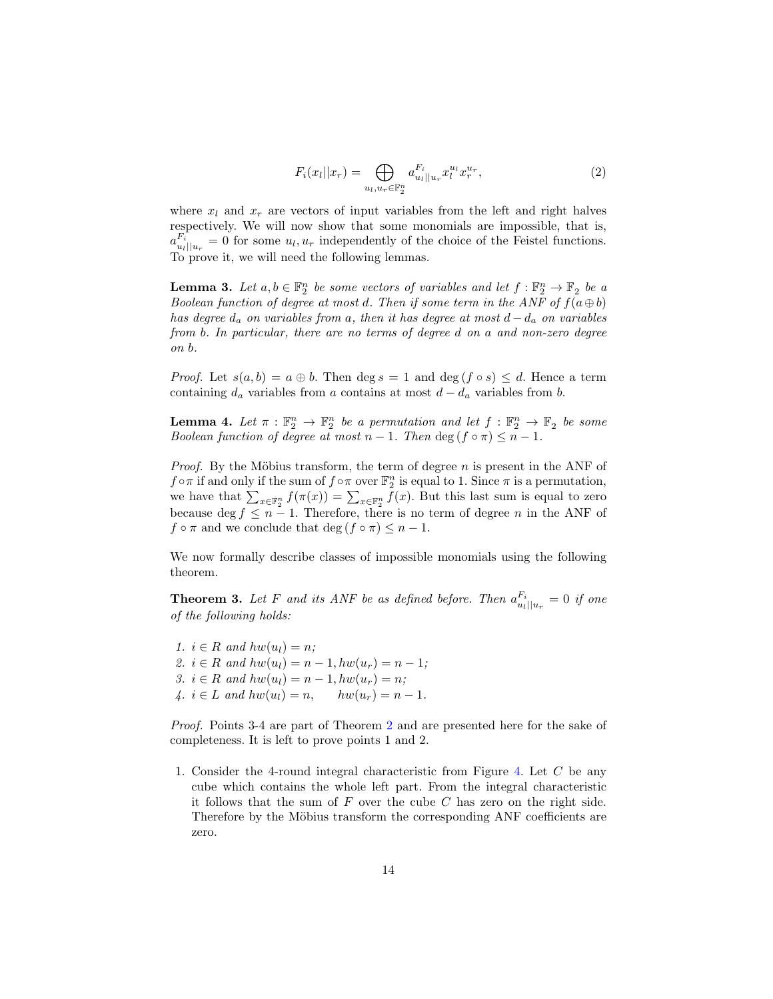<span id="page-13-3"></span>
$$
F_i(x_l||x_r) = \bigoplus_{u_l, u_r \in \mathbb{F}_2^n} a_{u_l||u_r}^{F_i} x_l^{u_l} x_r^{u_r},\tag{2}
$$

where  $x_l$  and  $x_r$  are vectors of input variables from the left and right halves respectively. We will now show that some monomials are impossible, that is,  $a_{u_l||u_r}^{F_i} = 0$  for some  $u_l, u_r$  independently of the choice of the Feistel functions. To prove it, we will need the following lemmas.

<span id="page-13-1"></span>**Lemma 3.** Let  $a, b \in \mathbb{F}_2^n$  be some vectors of variables and let  $f : \mathbb{F}_2^n \to \mathbb{F}_2$  be a Boolean function of degree at most d. Then if some term in the ANF of  $f(a \oplus b)$ has degree  $d_a$  on variables from a, then it has degree at most  $d - d_a$  on variables from  $b$ . In particular, there are no terms of degree  $d$  on  $a$  and non-zero degree  $\mathfrak{O}n\mathfrak{b}.$ 

*Proof.* Let  $s(a, b) = a \oplus b$ . Then deg  $s = 1$  and deg  $(f \circ s) \leq d$ . Hence a term containing  $d_a$  variables from a contains at most  $d - d_a$  variables from b.

<span id="page-13-0"></span>**Lemma 4.** Let  $\pi : \mathbb{F}_2^n \to \mathbb{F}_2^n$  be a permutation and let  $f : \mathbb{F}_2^n \to \mathbb{F}_2$  be some Boolean function of degree at most  $n-1$ . Then deg  $(f \circ \pi) \leq n-1$ .

*Proof.* By the Möbius transform, the term of degree  $n$  is present in the ANF of  $f \circ \pi$  if and only if the sum of  $f \circ \pi$  over  $\mathbb{F}_2^n$  is equal to 1. Since  $\pi$  is a permutation, we have that  $\sum_{x \in \mathbb{F}_2^n} f(\pi(x)) = \sum_{x \in \mathbb{F}_2^n} f(x)$ . But this last sum is equal to zero because deg  $f \leq n-1$ . Therefore, there is no term of degree n in the ANF of  $f \circ \pi$  and we conclude that deg  $(f \circ \pi) \leq n - 1$ .

<span id="page-13-2"></span>We now formally describe classes of impossible monomials using the following theorem.

**Theorem 3.** Let F and its ANF be as defined before. Then  $a_{u_l||u_r}^{F_i} = 0$  if one of the following holds:

1.  $i \in R$  and  $hw(u_i) = n$ ; 2.  $i \in R$  and  $hw(u_1) = n - 1, hw(u_r) = n - 1;$ 3.  $i \in R$  and  $hw(u_l) = n - 1, hw(u_r) = n;$ 4.  $i \in L$  and  $hw(u_l) = n$ ,  $hw(u_r) = n - 1$ .

Proof. Points 3-4 are part of Theorem [2](#page-8-1) and are presented here for the sake of completeness. It is left to prove points 1 and 2.

1. Consider the 4-round integral characteristic from Figure [4.](#page-14-1) Let  $C$  be any cube which contains the whole left part. From the integral characteristic it follows that the sum of  $F$  over the cube  $C$  has zero on the right side. Therefore by the Möbius transform the corresponding ANF coefficients are zero.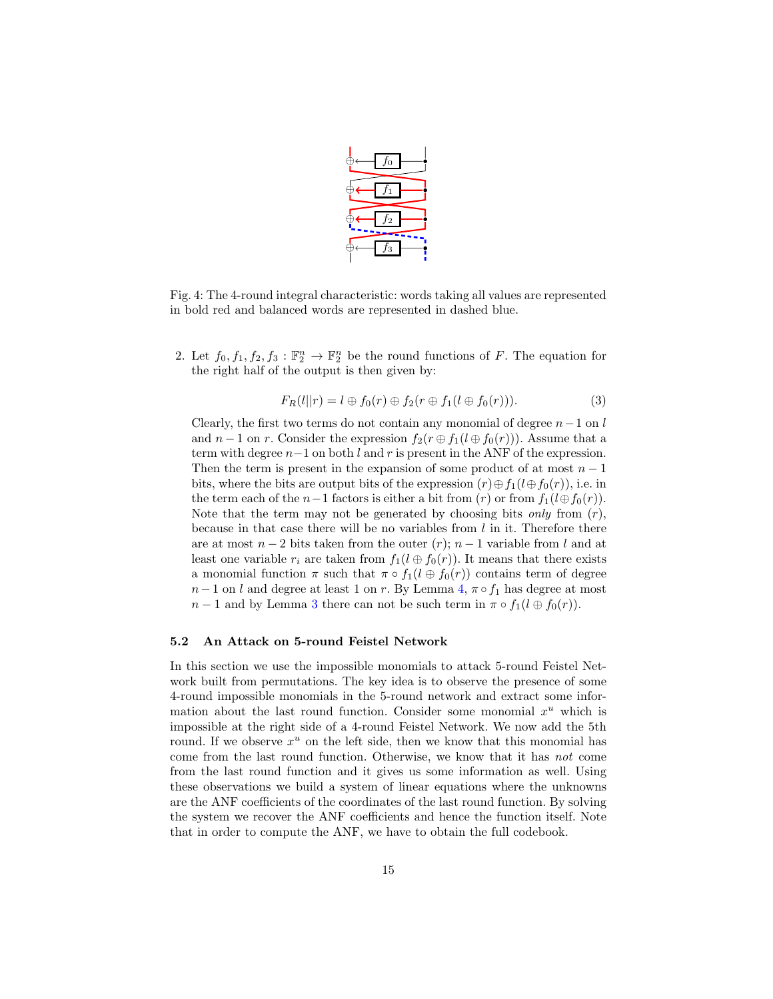

<span id="page-14-1"></span>Fig. 4: The 4-round integral characteristic: words taking all values are represented in bold red and balanced words are represented in dashed blue.

2. Let  $f_0, f_1, f_2, f_3 : \mathbb{F}_2^n \to \mathbb{F}_2^n$  be the round functions of F. The equation for the right half of the output is then given by:

$$
F_R(l||r) = l \oplus f_0(r) \oplus f_2(r \oplus f_1(l \oplus f_0(r))). \tag{3}
$$

Clearly, the first two terms do not contain any monomial of degree  $n-1$  on l and  $n-1$  on r. Consider the expression  $f_2(r \oplus f_1(l \oplus f_0(r)))$ . Assume that a term with degree  $n-1$  on both  $l$  and  $r$  is present in the ANF of the expression. Then the term is present in the expansion of some product of at most  $n-1$ bits, where the bits are output bits of the expression  $(r) \oplus f_1(l \oplus f_0(r))$ , i.e. in the term each of the  $n-1$  factors is either a bit from  $(r)$  or from  $f_1(l \oplus f_0(r))$ . Note that the term may not be generated by choosing bits only from  $(r)$ , because in that case there will be no variables from  $l$  in it. Therefore there are at most  $n-2$  bits taken from the outer  $(r)$ ;  $n-1$  variable from l and at least one variable  $r_i$  are taken from  $f_1(l \oplus f_0(r))$ . It means that there exists a monomial function  $\pi$  such that  $\pi \circ f_1(l \oplus f_0(r))$  contains term of degree  $n-1$  on  $l$  and degree at least 1 on  $r$ . By Lemma [4,](#page-13-0)  $\pi \circ f_1$  has degree at most  $n-1$  and by Lemma [3](#page-13-1) there can not be such term in  $\pi \circ f_1(l \oplus f_0(r))$ .

#### <span id="page-14-0"></span>5.2 An Attack on 5-round Feistel Network

In this section we use the impossible monomials to attack 5-round Feistel Network built from permutations. The key idea is to observe the presence of some 4-round impossible monomials in the 5-round network and extract some information about the last round function. Consider some monomial  $x^u$  which is impossible at the right side of a 4-round Feistel Network. We now add the 5th round. If we observe  $x^u$  on the left side, then we know that this monomial has come from the last round function. Otherwise, we know that it has not come from the last round function and it gives us some information as well. Using these observations we build a system of linear equations where the unknowns are the ANF coefficients of the coordinates of the last round function. By solving the system we recover the ANF coefficients and hence the function itself. Note that in order to compute the ANF, we have to obtain the full codebook.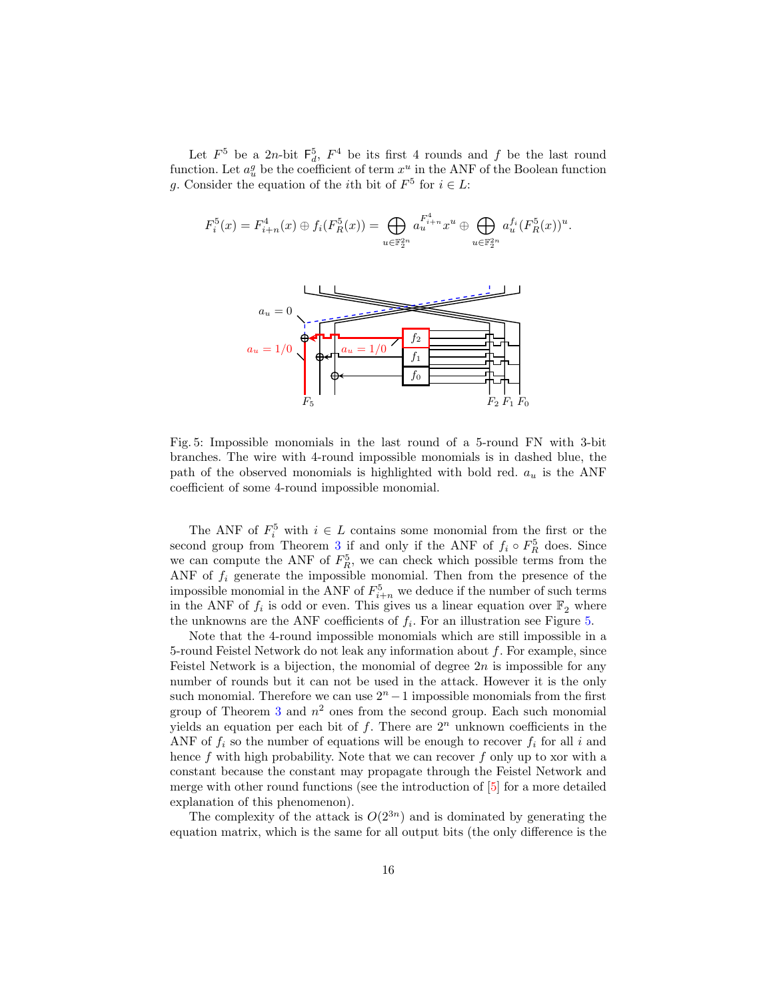Let  $F^5$  be a 2n-bit  $F_d^5$ ,  $F^4$  be its first 4 rounds and f be the last round function. Let  $a_u^g$  be the coefficient of term  $x^u$  in the ANF of the Boolean function g. Consider the equation of the *i*<sup>th</sup> bit of  $F^5$  for  $i \in L$ :

<span id="page-15-0"></span>
$$
F_i^5(x) = F_{i+n}^4(x) \oplus f_i(F_R^5(x)) = \bigoplus_{u \in \mathbb{F}_2^{2n}} a_u^{F_{i+n}^4} x^u \oplus \bigoplus_{u \in \mathbb{F}_2^{2n}} a_u^{f_i}(F_R^5(x))^u.
$$
  

$$
a_u = 0
$$
  

$$
a_u = 1/0
$$
  

$$
a_u = 1/0
$$
  

$$
f_1
$$
  

$$
f_0
$$
  

$$
f_1
$$
  

$$
f_2
$$
  

$$
F_2 F_1 F_0
$$

Fig. 5: Impossible monomials in the last round of a 5-round FN with 3-bit branches. The wire with 4-round impossible monomials is in dashed blue, the path of the observed monomials is highlighted with bold red.  $a_u$  is the ANF coefficient of some 4-round impossible monomial.

The ANF of  $F_i^5$  with  $i \in L$  contains some monomial from the first or the second group from Theorem [3](#page-13-2) if and only if the ANF of  $f_i \circ F_R^5$  does. Since we can compute the ANF of  $F_R^5$ , we can check which possible terms from the ANF of  $f_i$  generate the impossible monomial. Then from the presence of the impossible monomial in the ANF of  $F_{i+n}^5$  we deduce if the number of such terms in the ANF of  $f_i$  is odd or even. This gives us a linear equation over  $\mathbb{F}_2$  where the unknowns are the ANF coefficients of  $f_i$ . For an illustration see Figure [5.](#page-15-0)

Note that the 4-round impossible monomials which are still impossible in a 5-round Feistel Network do not leak any information about  $f$ . For example, since Feistel Network is a bijection, the monomial of degree  $2n$  is impossible for any number of rounds but it can not be used in the attack. However it is the only such monomial. Therefore we can use  $2<sup>n</sup> - 1$  impossible monomials from the first group of Theorem [3](#page-13-2) and  $n^2$  ones from the second group. Each such monomial yields an equation per each bit of  $f$ . There are  $2<sup>n</sup>$  unknown coefficients in the ANF of  $f_i$  so the number of equations will be enough to recover  $f_i$  for all  $i$  and hence  $f$  with high probability. Note that we can recover  $f$  only up to xor with a constant because the constant may propagate through the Feistel Network and merge with other round functions (see the introduction of [\[5\]](#page-19-4) for a more detailed explanation of this phenomenon).

The complexity of the attack is  $O(2^{3n})$  and is dominated by generating the equation matrix, which is the same for all output bits (the only difference is the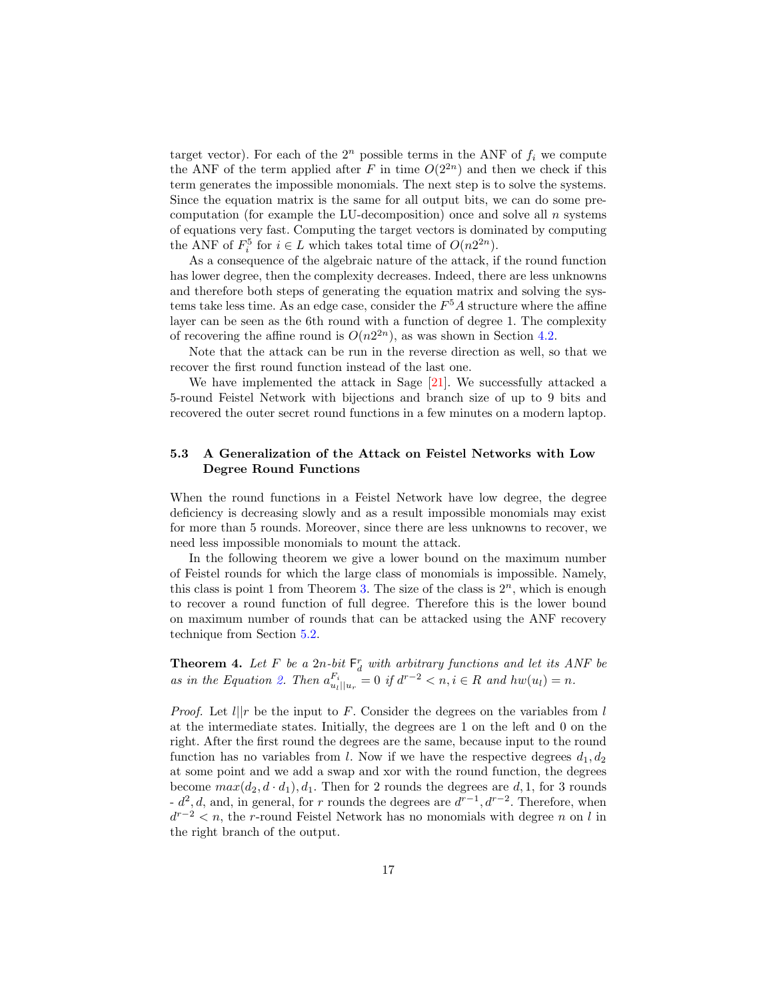target vector). For each of the  $2^n$  possible terms in the ANF of  $f_i$  we compute the ANF of the term applied after F in time  $O(2^{2n})$  and then we check if this term generates the impossible monomials. The next step is to solve the systems. Since the equation matrix is the same for all output bits, we can do some precomputation (for example the LU-decomposition) once and solve all  $n$  systems of equations very fast. Computing the target vectors is dominated by computing the ANF of  $F_i^5$  for  $i \in L$  which takes total time of  $O(n2^{2n})$ .

As a consequence of the algebraic nature of the attack, if the round function has lower degree, then the complexity decreases. Indeed, there are less unknowns and therefore both steps of generating the equation matrix and solving the systems take less time. As an edge case, consider the  $F<sup>5</sup>A$  structure where the affine layer can be seen as the 6th round with a function of degree 1. The complexity of recovering the affine round is  $O(n2^{2n})$ , as was shown in Section [4.2.](#page-10-0)

Note that the attack can be run in the reverse direction as well, so that we recover the first round function instead of the last one.

We have implemented the attack in Sage [\[21\]](#page-20-15). We successfully attacked a 5-round Feistel Network with bijections and branch size of up to 9 bits and recovered the outer secret round functions in a few minutes on a modern laptop.

# <span id="page-16-0"></span>5.3 A Generalization of the Attack on Feistel Networks with Low Degree Round Functions

When the round functions in a Feistel Network have low degree, the degree deficiency is decreasing slowly and as a result impossible monomials may exist for more than 5 rounds. Moreover, since there are less unknowns to recover, we need less impossible monomials to mount the attack.

In the following theorem we give a lower bound on the maximum number of Feistel rounds for which the large class of monomials is impossible. Namely, this class is point 1 from Theorem [3.](#page-13-2) The size of the class is  $2^n$ , which is enough to recover a round function of full degree. Therefore this is the lower bound on maximum number of rounds that can be attacked using the ANF recovery technique from Section [5.2.](#page-14-0)

<span id="page-16-1"></span>**Theorem 4.** Let F be a  $2n$ -bit  $\mathsf{F}_d^r$  with arbitrary functions and let its ANF be as in the Equation [2.](#page-13-3) Then  $a_{u_l||u_r}^{F_i} = 0$  if  $d^{r-2} < n, i \in R$  and  $hw(u_l) = n$ .

*Proof.* Let  $l||r$  be the input to F. Consider the degrees on the variables from l at the intermediate states. Initially, the degrees are 1 on the left and 0 on the right. After the first round the degrees are the same, because input to the round function has no variables from *l*. Now if we have the respective degrees  $d_1, d_2$ at some point and we add a swap and xor with the round function, the degrees become  $max(d_2, d \cdot d_1), d_1$ . Then for 2 rounds the degrees are d, 1, for 3 rounds -  $d^2$ , d, and, in general, for r rounds the degrees are  $d^{r-1}$ ,  $d^{r-2}$ . Therefore, when  $d^{r-2} < n$ , the r-round Feistel Network has no monomials with degree n on l in the right branch of the output.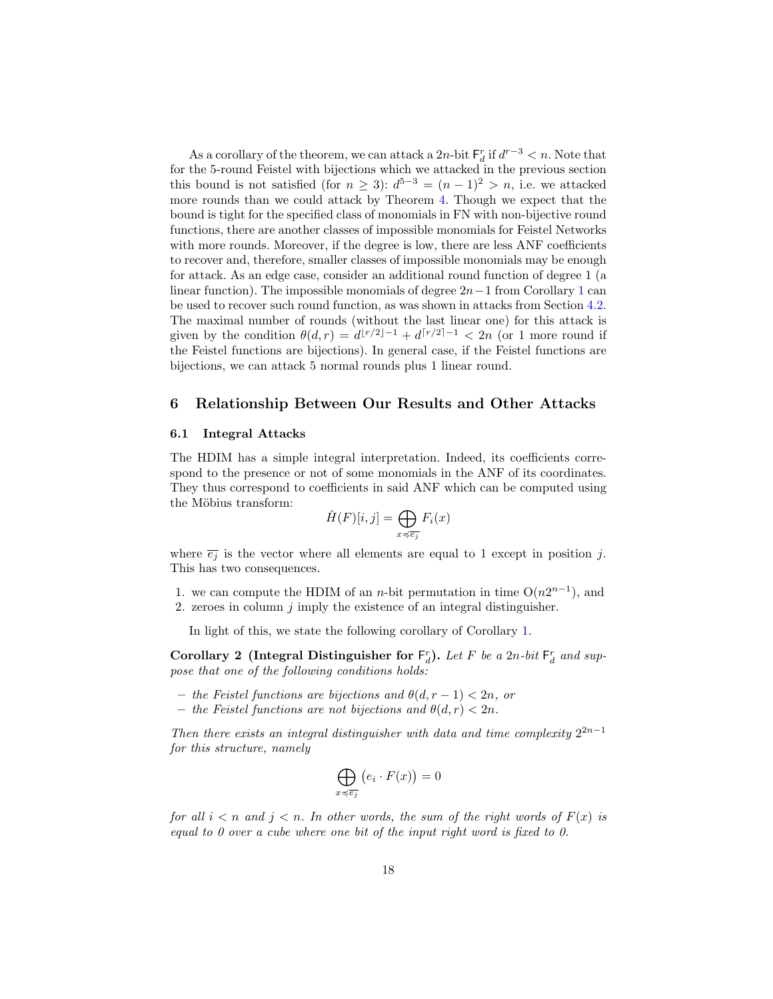As a corollary of the theorem, we can attack a  $2n$ -bit  $\mathsf{F}_d^r$  if  $d^{r-3} < n$ . Note that for the 5-round Feistel with bijections which we attacked in the previous section this bound is not satisfied (for  $n \geq 3$ ):  $d^{5-3} = (n-1)^2 > n$ , i.e. we attacked more rounds than we could attack by Theorem [4.](#page-16-1) Though we expect that the bound is tight for the specified class of monomials in FN with non-bijective round functions, there are another classes of impossible monomials for Feistel Networks with more rounds. Moreover, if the degree is low, there are less ANF coefficients to recover and, therefore, smaller classes of impossible monomials may be enough for attack. As an edge case, consider an additional round function of degree 1 (a linear function). The impossible monomials of degree  $2n-1$  $2n-1$  from Corollary 1 can be used to recover such round function, as was shown in attacks from Section [4.2.](#page-10-0) The maximal number of rounds (without the last linear one) for this attack is given by the condition  $\theta(d, r) = d^{\lfloor r/2 \rfloor - 1} + d^{\lceil r/2 \rceil - 1} < 2n$  (or 1 more round if the Feistel functions are bijections). In general case, if the Feistel functions are bijections, we can attack 5 normal rounds plus 1 linear round.

### <span id="page-17-1"></span>6 Relationship Between Our Results and Other Attacks

### <span id="page-17-0"></span>6.1 Integral Attacks

The HDIM has a simple integral interpretation. Indeed, its coefficients correspond to the presence or not of some monomials in the ANF of its coordinates. They thus correspond to coefficients in said ANF which can be computed using the Möbius transform:

$$
\hat{H}(F)[i,j] = \bigoplus_{x \preccurlyeq \overline{e_j}} F_i(x)
$$

where  $\overline{e_i}$  is the vector where all elements are equal to 1 except in position j. This has two consequences.

- 1. we can compute the HDIM of an *n*-bit permutation in time  $O(n2^{n-1})$ , and
- 2. zeroes in column  $j$  imply the existence of an integral distinguisher.

In light of this, we state the following corollary of Corollary [1.](#page-8-2)

Corollary 2 (Integral Distinguisher for  $F_d^r$ ). Let F be a 2n-bit  $F_d^r$  and suppose that one of the following conditions holds:

- the Feistel functions are bijections and  $\theta(d, r 1) < 2n$ , or
- the Feistel functions are not bijections and  $\theta(d, r) < 2n$ .

Then there exists an integral distinguisher with data and time complexity  $2^{2n-1}$ for this structure, namely

$$
\bigoplus_{x \preccurlyeq \overline{e_j}} \big(e_i \cdot F(x)\big) = 0
$$

for all  $i < n$  and  $j < n$ . In other words, the sum of the right words of  $F(x)$  is equal to 0 over a cube where one bit of the input right word is fixed to 0.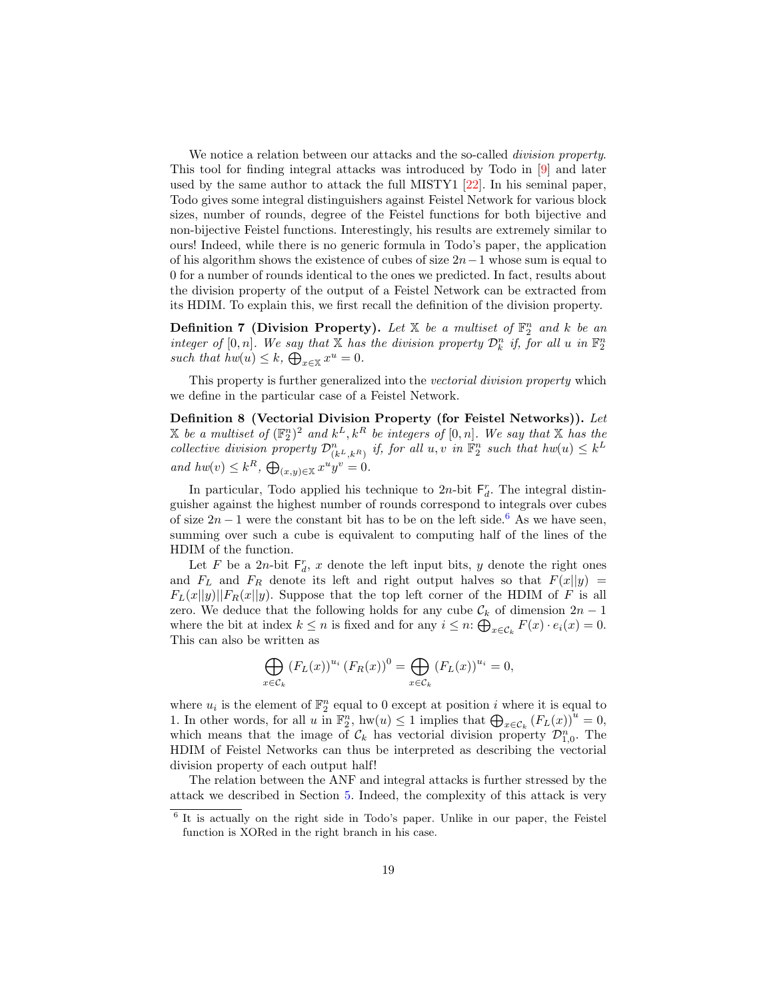We notice a relation between our attacks and the so-called *division property*. This tool for finding integral attacks was introduced by Todo in [\[9\]](#page-20-3) and later used by the same author to attack the full MISTY1 [\[22\]](#page-20-16). In his seminal paper, Todo gives some integral distinguishers against Feistel Network for various block sizes, number of rounds, degree of the Feistel functions for both bijective and non-bijective Feistel functions. Interestingly, his results are extremely similar to ours! Indeed, while there is no generic formula in Todo's paper, the application of his algorithm shows the existence of cubes of size  $2n-1$  whose sum is equal to 0 for a number of rounds identical to the ones we predicted. In fact, results about the division property of the output of a Feistel Network can be extracted from its HDIM. To explain this, we first recall the definition of the division property.

**Definition 7 (Division Property).** Let  $X$  be a multiset of  $\mathbb{F}_2^n$  and k be an integer of  $[0, n]$ . We say that X has the division property  $\mathcal{D}_k^n$  if, for all u in  $\mathbb{F}_2^n$ such that  $hw(u) \leq k$ ,  $\bigoplus_{x \in \mathbb{X}} x^u = 0$ .

This property is further generalized into the vectorial division property which we define in the particular case of a Feistel Network.

Definition 8 (Vectorial Division Property (for Feistel Networks)). Let X be a multiset of  $(\mathbb{F}_2^n)^2$  and  $k^L, k^R$  be integers of  $[0, n]$ . We say that X has the collective division property  $\mathcal{D}_{(k^L,k^R)}^n$  if, for all  $u, v$  in  $\mathbb{F}_2^n$  such that  $hw(u) \leq k^L$ and  $hw(v) \leq k^R$ ,  $\bigoplus_{(x,y)\in \mathbb{X}} x^u y^v = 0$ .

In particular, Todo applied his technique to  $2n$ -bit  $F_d^r$ . The integral distinguisher against the highest number of rounds correspond to integrals over cubes of size  $2n - 1$  were the constant bit has to be on the left side.<sup>[6](#page-18-0)</sup> As we have seen, summing over such a cube is equivalent to computing half of the lines of the HDIM of the function.

Let F be a 2n-bit  $F_d^r$ , x denote the left input bits, y denote the right ones and  $F_L$  and  $F_R$  denote its left and right output halves so that  $F(x||y) =$  $F_L(x||y)||F_R(x||y)$ . Suppose that the top left corner of the HDIM of F is all zero. We deduce that the following holds for any cube  $\mathcal{C}_k$  of dimension  $2n - 1$ where the bit at index  $k \leq n$  is fixed and for any  $i \leq n$ :  $\bigoplus_{x \in C_k} F(x) \cdot e_i(x) = 0$ . This can also be written as

$$
\bigoplus_{x \in \mathcal{C}_k} \left( F_L(x) \right)^{u_i} \left( F_R(x) \right)^0 = \bigoplus_{x \in \mathcal{C}_k} \left( F_L(x) \right)^{u_i} = 0,
$$

where  $u_i$  is the element of  $\mathbb{F}_2^n$  equal to 0 except at position *i* where it is equal to 1. In other words, for all u in  $\mathbb{F}_2^n$ , hw $(u) \leq 1$  implies that  $\bigoplus_{x \in \mathcal{C}_k} (F_L(x))^u = 0$ , which means that the image of  $\mathcal{C}_k$  has vectorial division property  $\mathcal{D}_{1,0}^n$ . The HDIM of Feistel Networks can thus be interpreted as describing the vectorial division property of each output half!

The relation between the ANF and integral attacks is further stressed by the attack we described in Section [5.](#page-12-0) Indeed, the complexity of this attack is very

<span id="page-18-0"></span><sup>&</sup>lt;sup>6</sup> It is actually on the right side in Todo's paper. Unlike in our paper, the Feistel function is XORed in the right branch in his case.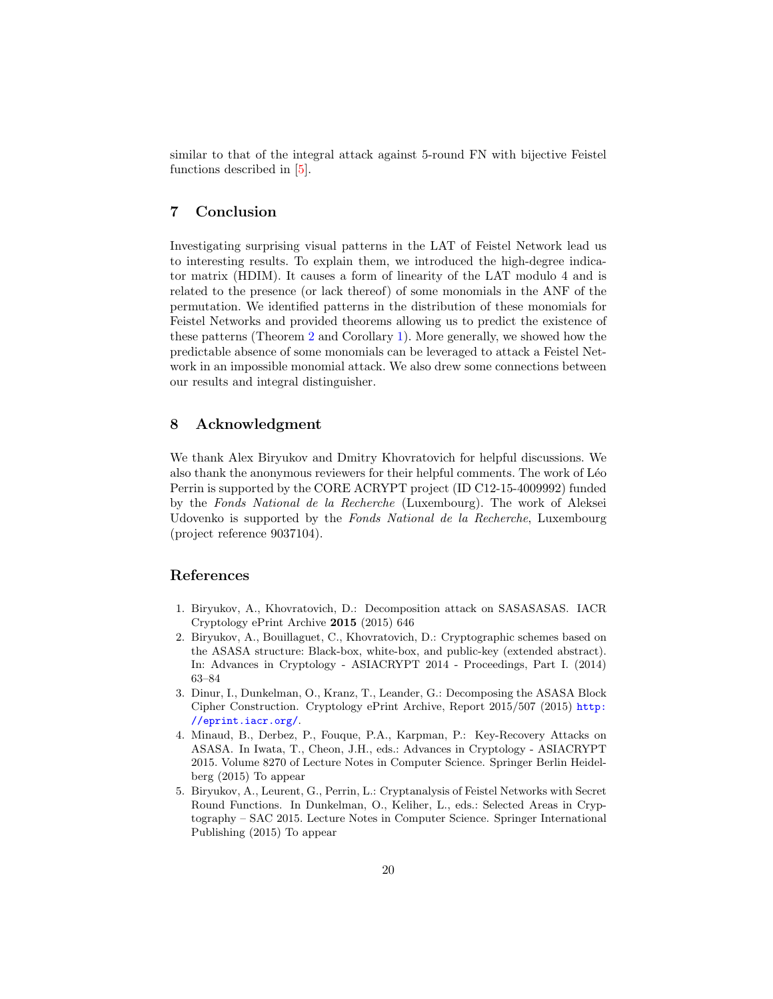similar to that of the integral attack against 5-round FN with bijective Feistel functions described in [\[5\]](#page-19-4).

# 7 Conclusion

Investigating surprising visual patterns in the LAT of Feistel Network lead us to interesting results. To explain them, we introduced the high-degree indicator matrix (HDIM). It causes a form of linearity of the LAT modulo 4 and is related to the presence (or lack thereof) of some monomials in the ANF of the permutation. We identified patterns in the distribution of these monomials for Feistel Networks and provided theorems allowing us to predict the existence of these patterns (Theorem [2](#page-8-1) and Corollary [1\)](#page-8-2). More generally, we showed how the predictable absence of some monomials can be leveraged to attack a Feistel Network in an impossible monomial attack. We also drew some connections between our results and integral distinguisher.

# 8 Acknowledgment

We thank Alex Biryukov and Dmitry Khovratovich for helpful discussions. We also thank the anonymous reviewers for their helpful comments. The work of Léo Perrin is supported by the CORE ACRYPT project (ID C12-15-4009992) funded by the Fonds National de la Recherche (Luxembourg). The work of Aleksei Udovenko is supported by the Fonds National de la Recherche, Luxembourg (project reference 9037104).

# References

- <span id="page-19-0"></span>1. Biryukov, A., Khovratovich, D.: Decomposition attack on SASASASAS. IACR Cryptology ePrint Archive 2015 (2015) 646
- <span id="page-19-1"></span>2. Biryukov, A., Bouillaguet, C., Khovratovich, D.: Cryptographic schemes based on the ASASA structure: Black-box, white-box, and public-key (extended abstract). In: Advances in Cryptology - ASIACRYPT 2014 - Proceedings, Part I. (2014) 63–84
- <span id="page-19-2"></span>3. Dinur, I., Dunkelman, O., Kranz, T., Leander, G.: Decomposing the ASASA Block Cipher Construction. Cryptology ePrint Archive, Report 2015/507 (2015) [http:](http://eprint.iacr.org/) [//eprint.iacr.org/](http://eprint.iacr.org/).
- <span id="page-19-3"></span>4. Minaud, B., Derbez, P., Fouque, P.A., Karpman, P.: Key-Recovery Attacks on ASASA. In Iwata, T., Cheon, J.H., eds.: Advances in Cryptology - ASIACRYPT 2015. Volume 8270 of Lecture Notes in Computer Science. Springer Berlin Heidelberg (2015) To appear
- <span id="page-19-4"></span>5. Biryukov, A., Leurent, G., Perrin, L.: Cryptanalysis of Feistel Networks with Secret Round Functions. In Dunkelman, O., Keliher, L., eds.: Selected Areas in Cryptography – SAC 2015. Lecture Notes in Computer Science. Springer International Publishing (2015) To appear